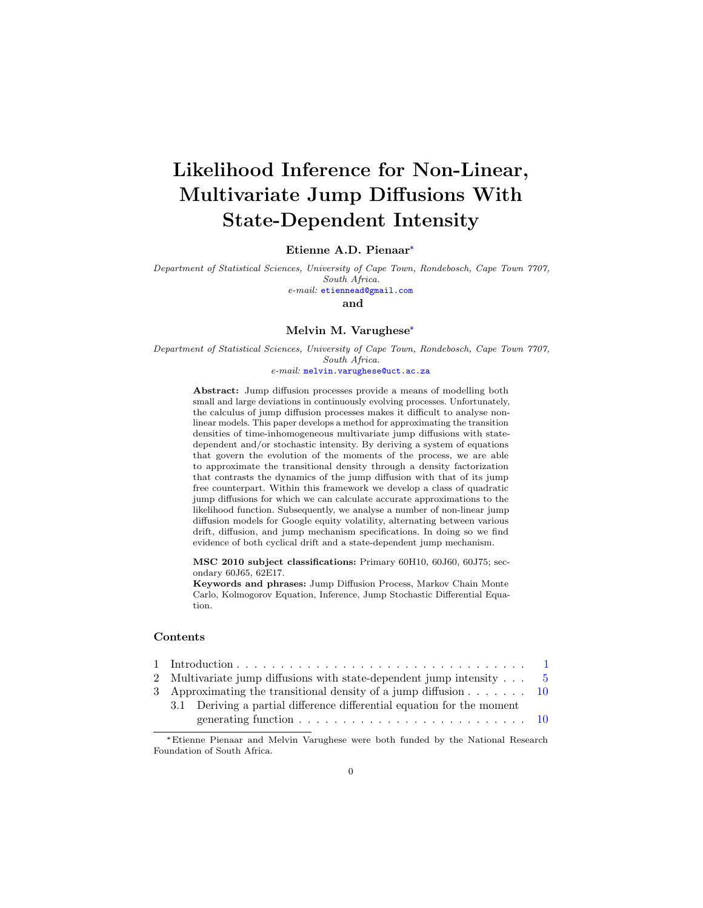# Likelihood Inference for Non-Linear, Multivariate Jump Diffusions With State-Dependent Intensity

### Etienne A.D. Pienaar\*

Department of Statistical Sciences, University of Cape Town, Rondebosch, Cape Town 7707, South Africa. e-mail: etiennead@gmail.com

and

#### Melvin M. Varughese\*

Department of Statistical Sciences, University of Cape Town, Rondebosch, Cape Town 7707, South Africa.

 $e\text{-}mail:$   $\text{\texttt{melvin}}\text{-}variable@uct\text{-}ac\text{-}za$ 

Abstract: Jump diffusion processes provide a means of modelling both small and large deviations in continuously evolving processes. Unfortunately, the calculus of jump diffusion processes makes it difficult to analyse nonlinear models. This paper develops a method for approximating the transition densities of time-inhomogeneous multivariate jump diffusions with statedependent and/or stochastic intensity. By deriving a system of equations that govern the evolution of the moments of the process, we are able to approximate the transitional density through a density factorization that contrasts the dynamics of the jump diffusion with that of its jump free counterpart. Within this framework we develop a class of quadratic jump diffusions for which we can calculate accurate approximations to the likelihood function. Subsequently, we analyse a number of non-linear jump diffusion models for Google equity volatility, alternating between various drift, diffusion, and jump mechanism specifications. In doing so we find evidence of both cyclical drift and a state-dependent jump mechanism.

MSC 2010 subject classifications: Primary 60H10, 60J60, 60J75; secondary 60J65, 62E17.

Keywords and phrases: Jump Diffusion Process, Markov Chain Monte Carlo, Kolmogorov Equation, Inference, Jump Stochastic Differential Equation.

# Contents

|  | 2 Multivariate jump diffusions with state-dependent jump intensity 5                                  |  |
|--|-------------------------------------------------------------------------------------------------------|--|
|  | 3 Approximating the transitional density of a jump diffusion $\dots \dots \dots$ 10                   |  |
|  | 3.1 Deriving a partial difference differential equation for the moment                                |  |
|  | generating function $\ldots \ldots \ldots \ldots \ldots \ldots \ldots \ldots \ldots \ldots \ldots 10$ |  |

<sup>\*</sup>Etienne Pienaar and Melvin Varughese were both funded by the National Research Foundation of South Africa.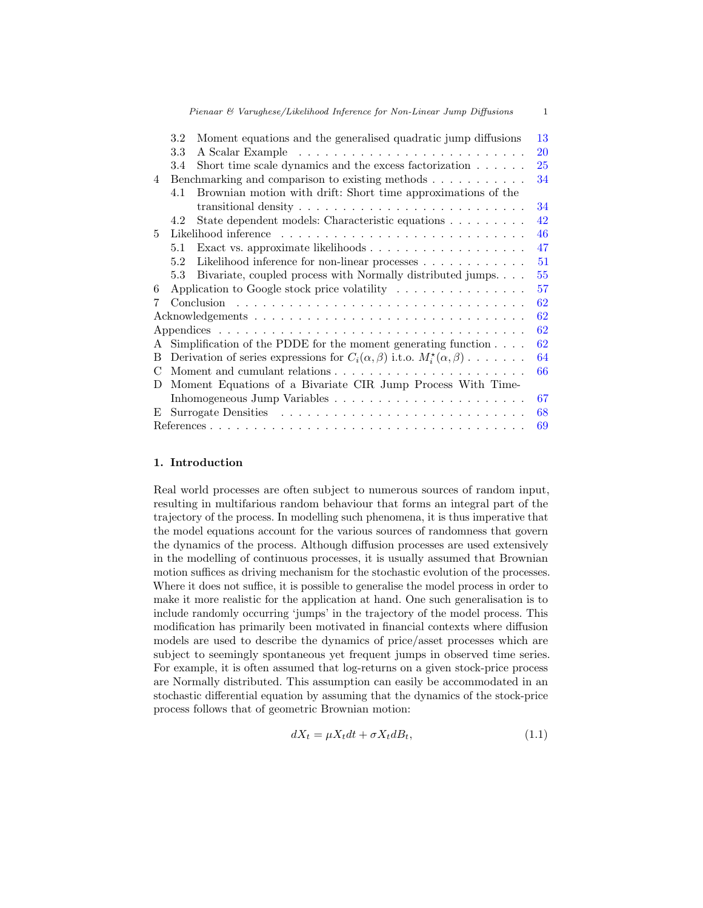|               | $3.2\,$                                                        |                                                                                               | 13 |  |  |  |  |
|---------------|----------------------------------------------------------------|-----------------------------------------------------------------------------------------------|----|--|--|--|--|
|               | Moment equations and the generalised quadratic jump diffusions |                                                                                               |    |  |  |  |  |
|               | 3.3                                                            |                                                                                               | 20 |  |  |  |  |
|               | 3.4                                                            | Short time scale dynamics and the excess factorization $\ldots \ldots$                        | 25 |  |  |  |  |
| 4             |                                                                | Benchmarking and comparison to existing methods                                               | 34 |  |  |  |  |
|               | 4.1                                                            | Brownian motion with drift: Short time approximations of the                                  |    |  |  |  |  |
|               |                                                                | transitional density $\dots \dots \dots \dots \dots \dots \dots \dots \dots \dots$            | 34 |  |  |  |  |
|               | 4.2                                                            | State dependent models: Characteristic equations                                              | 42 |  |  |  |  |
| 5.            |                                                                |                                                                                               | 46 |  |  |  |  |
|               | 5.1                                                            |                                                                                               | 47 |  |  |  |  |
|               | 5.2                                                            | Likelihood inference for non-linear processes                                                 | 51 |  |  |  |  |
|               | 5.3                                                            | Bivariate, coupled process with Normally distributed jumps                                    | 55 |  |  |  |  |
| 6             |                                                                | Application to Google stock price volatility $\dots \dots \dots \dots \dots$                  | 57 |  |  |  |  |
|               |                                                                |                                                                                               | 62 |  |  |  |  |
|               |                                                                |                                                                                               | 62 |  |  |  |  |
|               |                                                                |                                                                                               | 62 |  |  |  |  |
| A             |                                                                | Simplification of the PDDE for the moment generating function $\ldots$ .                      | 62 |  |  |  |  |
| B.            |                                                                | Derivation of series expressions for $C_i(\alpha, \beta)$ i.t.o. $M_i^{\star}(\alpha, \beta)$ | 64 |  |  |  |  |
| $\mathcal{C}$ |                                                                |                                                                                               | 66 |  |  |  |  |
| D             | Moment Equations of a Bivariate CIR Jump Process With Time-    |                                                                                               |    |  |  |  |  |
|               |                                                                |                                                                                               | 67 |  |  |  |  |
| E.            |                                                                |                                                                                               | 68 |  |  |  |  |
|               |                                                                |                                                                                               | 69 |  |  |  |  |
|               |                                                                |                                                                                               |    |  |  |  |  |

## 1. Introduction

Real world processes are often subject to numerous sources of random input, resulting in multifarious random behaviour that forms an integral part of the trajectory of the process. In modelling such phenomena, it is thus imperative that the model equations account for the various sources of randomness that govern the dynamics of the process. Although diffusion processes are used extensively in the modelling of continuous processes, it is usually assumed that Brownian motion suffices as driving mechanism for the stochastic evolution of the processes. Where it does not suffice, it is possible to generalise the model process in order to make it more realistic for the application at hand. One such generalisation is to include randomly occurring 'jumps' in the trajectory of the model process. This modification has primarily been motivated in financial contexts where diffusion models are used to describe the dynamics of price/asset processes which are subject to seemingly spontaneous yet frequent jumps in observed time series. For example, it is often assumed that log-returns on a given stock-price process are Normally distributed. This assumption can easily be accommodated in an stochastic differential equation by assuming that the dynamics of the stock-price process follows that of geometric Brownian motion:

$$
dX_t = \mu X_t dt + \sigma X_t dB_t, \qquad (1.1)
$$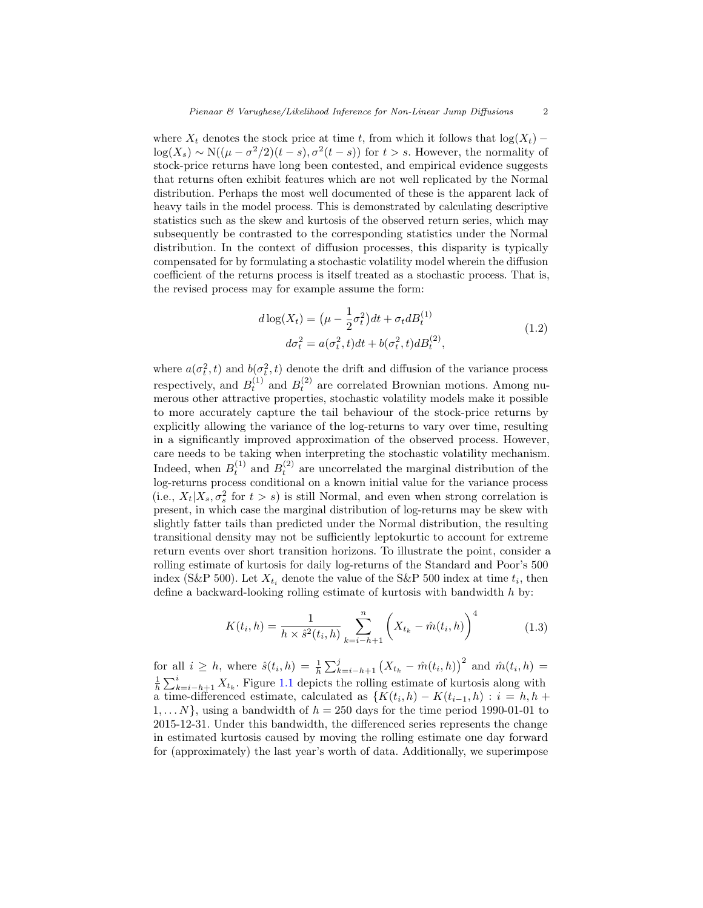where  $X_t$  denotes the stock price at time t, from which it follows that  $\log(X_t)$  −  $\log(X_s) \sim \mathcal{N}((\mu - \sigma^2/2)(t - s), \sigma^2(t - s))$  for  $t > s$ . However, the normality of stock-price returns have long been contested, and empirical evidence suggests that returns often exhibit features which are not well replicated by the Normal distribution. Perhaps the most well documented of these is the apparent lack of heavy tails in the model process. This is demonstrated by calculating descriptive statistics such as the skew and kurtosis of the observed return series, which may subsequently be contrasted to the corresponding statistics under the Normal distribution. In the context of diffusion processes, this disparity is typically compensated for by formulating a stochastic volatility model wherein the diffusion coefficient of the returns process is itself treated as a stochastic process. That is, the revised process may for example assume the form:

$$
d\log(X_t) = (\mu - \frac{1}{2}\sigma_t^2)dt + \sigma_t dB_t^{(1)}
$$
  
\n
$$
d\sigma_t^2 = a(\sigma_t^2, t)dt + b(\sigma_t^2, t)dB_t^{(2)},
$$
\n(1.2)

where  $a(\sigma_t^2, t)$  and  $b(\sigma_t^2, t)$  denote the drift and diffusion of the variance process respectively, and  $B_t^{(1)}$  and  $B_t^{(2)}$  are correlated Brownian motions. Among numerous other attractive properties, stochastic volatility models make it possible to more accurately capture the tail behaviour of the stock-price returns by explicitly allowing the variance of the log-returns to vary over time, resulting in a significantly improved approximation of the observed process. However, care needs to be taking when interpreting the stochastic volatility mechanism. Indeed, when  $B_t^{(1)}$  and  $B_t^{(2)}$  are uncorrelated the marginal distribution of the log-returns process conditional on a known initial value for the variance process (i.e.,  $X_t|X_s, \sigma_s^2$  for  $t > s$ ) is still Normal, and even when strong correlation is present, in which case the marginal distribution of log-returns may be skew with slightly fatter tails than predicted under the Normal distribution, the resulting transitional density may not be sufficiently leptokurtic to account for extreme return events over short transition horizons. To illustrate the point, consider a rolling estimate of kurtosis for daily log-returns of the Standard and Poor's 500 index (S&P 500). Let  $X_{t_i}$  denote the value of the S&P 500 index at time  $t_i$ , then define a backward-looking rolling estimate of kurtosis with bandwidth  $h$  by:

$$
K(t_i, h) = \frac{1}{h \times \hat{s}^2(t_i, h)} \sum_{k=i-h+1}^{n} \left( X_{t_k} - \hat{m}(t_i, h) \right)^4 \tag{1.3}
$$

for all  $i \geq h$ , where  $\hat{s}(t_i, h) = \frac{1}{h} \sum_{k=i-h+1}^{j} (X_{t_k} - \hat{m}(t_i, h))^2$  and  $\hat{m}(t_i, h) =$  $\frac{1}{h} \sum_{k=i-h+1}^{i} X_{t_k}$ . Figure 1.1 depicts the rolling estimate of kurtosis along with a time-differenced estimate, calculated as  $\{K(t_i, h) - K(t_{i-1}, h) : i = h, h + h\}$  $1, \ldots N$ , using a bandwidth of  $h = 250$  days for the time period 1990-01-01 to 2015-12-31. Under this bandwidth, the differenced series represents the change in estimated kurtosis caused by moving the rolling estimate one day forward for (approximately) the last year's worth of data. Additionally, we superimpose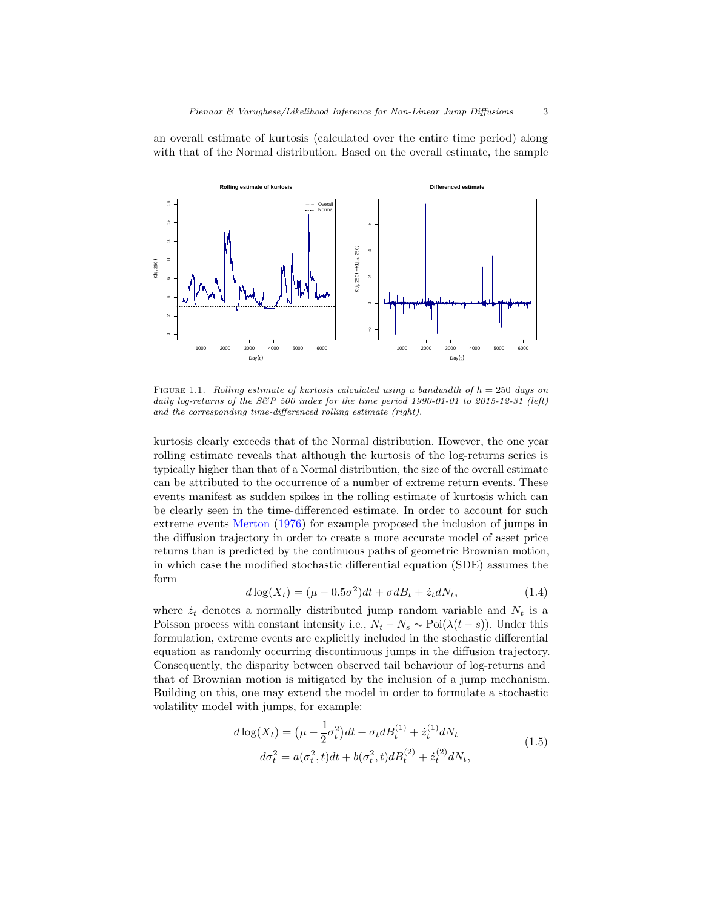an overall estimate of kurtosis (calculated over the entire time period) along with that of the Normal distribution. Based on the overall estimate, the sample



FIGURE 1.1. Rolling estimate of kurtosis calculated using a bandwidth of  $h = 250$  days on daily log-returns of the S&P 500 index for the time period  $1990-01-01$  to  $2015-12-31$  (left) and the corresponding time-differenced rolling estimate (right).

kurtosis clearly exceeds that of the Normal distribution. However, the one year rolling estimate reveals that although the kurtosis of the log-returns series is typically higher than that of a Normal distribution, the size of the overall estimate can be attributed to the occurrence of a number of extreme return events. These events manifest as sudden spikes in the rolling estimate of kurtosis which can be clearly seen in the time-differenced estimate. In order to account for such extreme events Merton (1976) for example proposed the inclusion of jumps in the diffusion trajectory in order to create a more accurate model of asset price returns than is predicted by the continuous paths of geometric Brownian motion, in which case the modified stochastic differential equation (SDE) assumes the form

$$
d\log(X_t) = (\mu - 0.5\sigma^2)dt + \sigma dB_t + \dot{z}_t dN_t, \qquad (1.4)
$$

where  $\dot{z}_t$  denotes a normally distributed jump random variable and  $N_t$  is a Poisson process with constant intensity i.e.,  $N_t - N_s \sim \text{Poi}(\lambda(t - s))$ . Under this formulation, extreme events are explicitly included in the stochastic differential equation as randomly occurring discontinuous jumps in the diffusion trajectory. Consequently, the disparity between observed tail behaviour of log-returns and that of Brownian motion is mitigated by the inclusion of a jump mechanism. Building on this, one may extend the model in order to formulate a stochastic volatility model with jumps, for example:

$$
d\log(X_t) = (\mu - \frac{1}{2}\sigma_t^2)dt + \sigma_t dB_t^{(1)} + \dot{z}_t^{(1)}dN_t
$$
  

$$
d\sigma_t^2 = a(\sigma_t^2, t)dt + b(\sigma_t^2, t)dB_t^{(2)} + \dot{z}_t^{(2)}dN_t,
$$
 (1.5)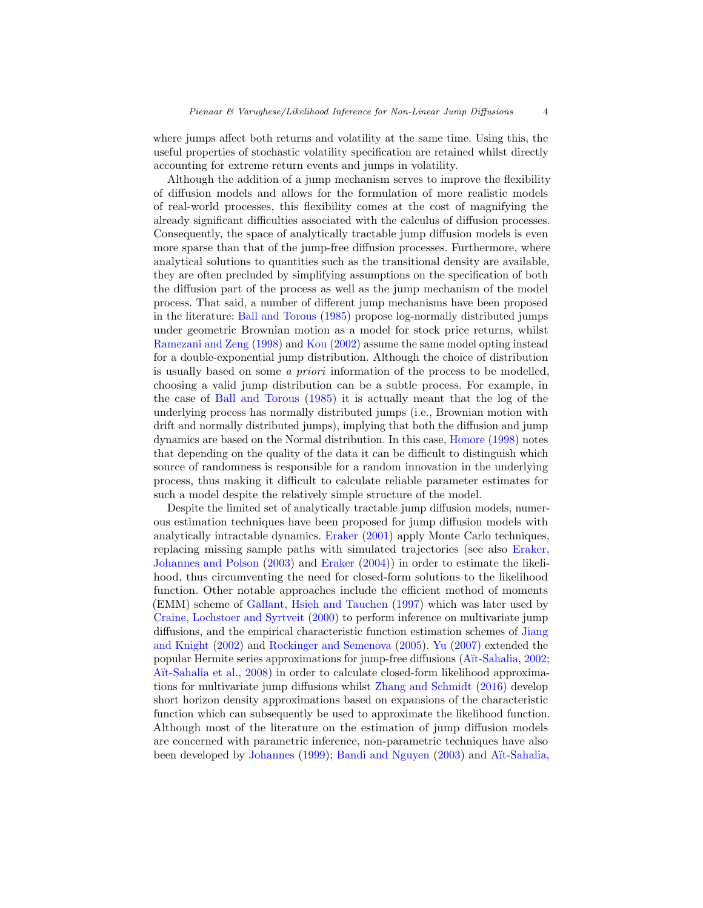where jumps affect both returns and volatility at the same time. Using this, the useful properties of stochastic volatility specification are retained whilst directly accounting for extreme return events and jumps in volatility.

Although the addition of a jump mechanism serves to improve the flexibility of diffusion models and allows for the formulation of more realistic models of real-world processes, this flexibility comes at the cost of magnifying the already significant difficulties associated with the calculus of diffusion processes. Consequently, the space of analytically tractable jump diffusion models is even more sparse than that of the jump-free diffusion processes. Furthermore, where analytical solutions to quantities such as the transitional density are available, they are often precluded by simplifying assumptions on the specification of both the diffusion part of the process as well as the jump mechanism of the model process. That said, a number of different jump mechanisms have been proposed in the literature: Ball and Torous (1985) propose log-normally distributed jumps under geometric Brownian motion as a model for stock price returns, whilst Ramezani and Zeng (1998) and Kou (2002) assume the same model opting instead for a double-exponential jump distribution. Although the choice of distribution is usually based on some a priori information of the process to be modelled, choosing a valid jump distribution can be a subtle process. For example, in the case of Ball and Torous (1985) it is actually meant that the log of the underlying process has normally distributed jumps (i.e., Brownian motion with drift and normally distributed jumps), implying that both the diffusion and jump dynamics are based on the Normal distribution. In this case, Honore (1998) notes that depending on the quality of the data it can be difficult to distinguish which source of randomness is responsible for a random innovation in the underlying process, thus making it difficult to calculate reliable parameter estimates for such a model despite the relatively simple structure of the model.

Despite the limited set of analytically tractable jump diffusion models, numerous estimation techniques have been proposed for jump diffusion models with analytically intractable dynamics. Eraker (2001) apply Monte Carlo techniques, replacing missing sample paths with simulated trajectories (see also Eraker, Johannes and Polson (2003) and Eraker (2004)) in order to estimate the likelihood, thus circumventing the need for closed-form solutions to the likelihood function. Other notable approaches include the efficient method of moments (EMM) scheme of Gallant, Hsieh and Tauchen (1997) which was later used by Craine, Lochstoer and Syrtveit (2000) to perform inference on multivariate jump diffusions, and the empirical characteristic function estimation schemes of Jiang and Knight (2002) and Rockinger and Semenova (2005). Yu (2007) extended the popular Hermite series approximations for jump-free diffusions (A¨ıt-Sahalia, 2002; Aït-Sahalia et al., 2008) in order to calculate closed-form likelihood approximations for multivariate jump diffusions whilst Zhang and Schmidt (2016) develop short horizon density approximations based on expansions of the characteristic function which can subsequently be used to approximate the likelihood function. Although most of the literature on the estimation of jump diffusion models are concerned with parametric inference, non-parametric techniques have also been developed by Johannes (1999); Bandi and Nguyen (2003) and Aït-Sahalia,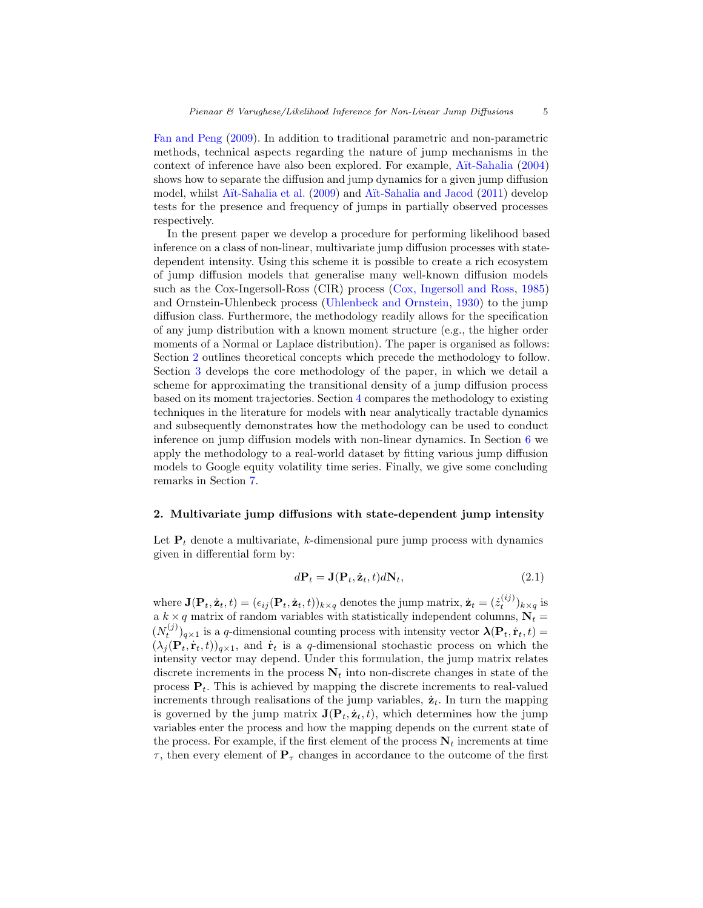Fan and Peng (2009). In addition to traditional parametric and non-parametric methods, technical aspects regarding the nature of jump mechanisms in the context of inference have also been explored. For example, A¨ıt-Sahalia (2004) shows how to separate the diffusion and jump dynamics for a given jump diffusion model, whilst A¨ıt-Sahalia et al. (2009) and A¨ıt-Sahalia and Jacod (2011) develop tests for the presence and frequency of jumps in partially observed processes respectively.

In the present paper we develop a procedure for performing likelihood based inference on a class of non-linear, multivariate jump diffusion processes with statedependent intensity. Using this scheme it is possible to create a rich ecosystem of jump diffusion models that generalise many well-known diffusion models such as the Cox-Ingersoll-Ross (CIR) process (Cox, Ingersoll and Ross, 1985) and Ornstein-Uhlenbeck process (Uhlenbeck and Ornstein, 1930) to the jump diffusion class. Furthermore, the methodology readily allows for the specification of any jump distribution with a known moment structure (e.g., the higher order moments of a Normal or Laplace distribution). The paper is organised as follows: Section 2 outlines theoretical concepts which precede the methodology to follow. Section 3 develops the core methodology of the paper, in which we detail a scheme for approximating the transitional density of a jump diffusion process based on its moment trajectories. Section 4 compares the methodology to existing techniques in the literature for models with near analytically tractable dynamics and subsequently demonstrates how the methodology can be used to conduct inference on jump diffusion models with non-linear dynamics. In Section 6 we apply the methodology to a real-world dataset by fitting various jump diffusion models to Google equity volatility time series. Finally, we give some concluding remarks in Section 7.

### 2. Multivariate jump diffusions with state-dependent jump intensity

Let  $P_t$  denote a multivariate, k-dimensional pure jump process with dynamics given in differential form by:

$$
d\mathbf{P}_t = \mathbf{J}(\mathbf{P}_t, \dot{\mathbf{z}}_t, t) d\mathbf{N}_t, \tag{2.1}
$$

where  $\mathbf{J}(\mathbf{P}_t, \dot{\mathbf{z}}_t, t) = (\epsilon_{ij}(\mathbf{P}_t, \dot{\mathbf{z}}_t, t))_{k \times q}$  denotes the jump matrix,  $\dot{\mathbf{z}}_t = (\dot{z}_t^{(ij)})_{k \times q}$  is a  $k \times q$  matrix of random variables with statistically independent columns,  $N_t =$  $(N_t^{(j)})_{q\times 1}$  is a q-dimensional counting process with intensity vector  $\mathbf{\lambda}(\mathbf{P}_t, \dot{\mathbf{r}}_t, t)$  =  $(\lambda_j(\mathbf{P}_t, \dot{\mathbf{r}}_t, t))_{q \times 1}$ , and  $\dot{\mathbf{r}}_t$  is a q-dimensional stochastic process on which the intensity vector may depend. Under this formulation, the jump matrix relates discrete increments in the process  $N_t$  into non-discrete changes in state of the process  $P_t$ . This is achieved by mapping the discrete increments to real-valued increments through realisations of the jump variables,  $\dot{z}_t$ . In turn the mapping is governed by the jump matrix  $\mathbf{J}(\mathbf{P}_t, \dot{\mathbf{z}}_t, t)$ , which determines how the jump variables enter the process and how the mapping depends on the current state of the process. For example, if the first element of the process  $N_t$  increments at time  $\tau$ , then every element of  $P_{\tau}$  changes in accordance to the outcome of the first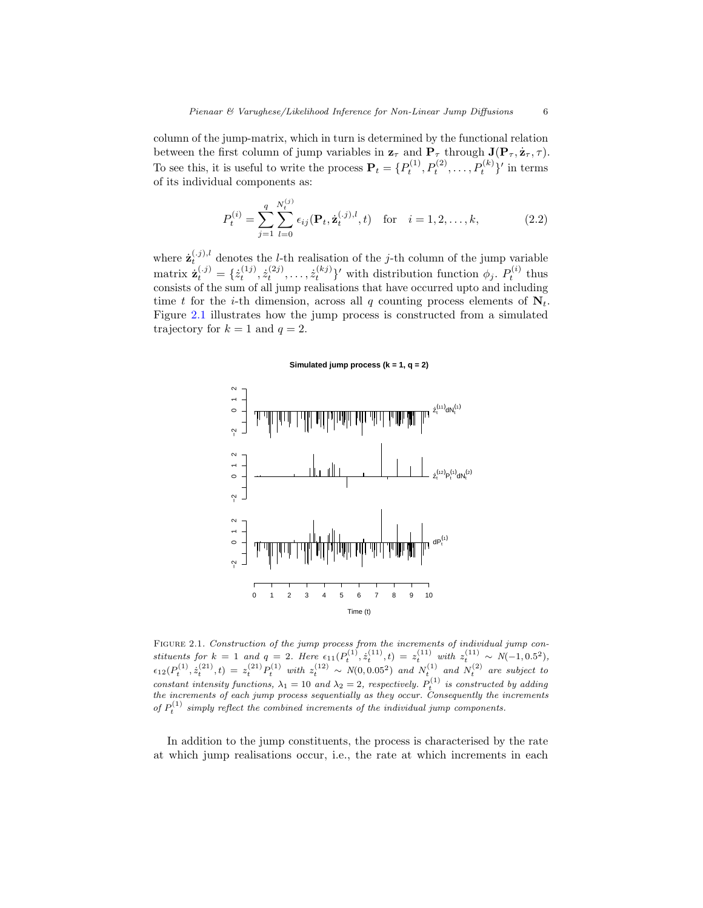column of the jump-matrix, which in turn is determined by the functional relation between the first column of jump variables in  $\mathbf{z}_{\tau}$  and  $\mathbf{P}_{\tau}$  through  $\mathbf{J}(\mathbf{P}_{\tau}, \dot{\mathbf{z}}_{\tau}, \tau)$ . To see this, it is useful to write the process  $\mathbf{P}_t = \{P_t^{(1)}, P_t^{(2)}, \ldots, P_t^{(k)}\}'$  in terms of its individual components as:

$$
P_t^{(i)} = \sum_{j=1}^q \sum_{l=0}^{N_t^{(j)}} \epsilon_{ij} (\mathbf{P}_t, \dot{\mathbf{z}}_t^{(.j),l}, t) \quad \text{for} \quad i = 1, 2, \dots, k,
$$
 (2.2)

where  $\mathbf{z}_{t}^{(.j),l}$  denotes the *l*-th realisation of the *j*-th column of the jump variable matrix  $\dot{\mathbf{z}}_t^{(.j)} = \{\dot{z}_t^{(1j)}, \dot{z}_t^{(2j)}, \dots, \dot{z}_t^{(kj)}\}'$  with distribution function  $\phi_j$ .  $P_t^{(i)}$  thus consists of the sum of all jump realisations that have occurred upto and including time t for the i-th dimension, across all q counting process elements of  $N_t$ . Figure 2.1 illustrates how the jump process is constructed from a simulated trajectory for  $k = 1$  and  $q = 2$ .

**Simulated jump process (k = 1, q = 2)**



FIGURE 2.1. Construction of the jump process from the increments of individual jump constituents for  $k = 1$  and  $q = 2$ . Here  $\epsilon_{11}(P_t^{(1)}, \dot{z}_t^{(11)}, t) = z_t^{(11)}$  with  $z_t^{(11)} \sim N(-1, 0.5^2)$ ,  $\epsilon_{12}(P_t^{(1)}, \dot{z}_t^{(21)}, t) = z_t^{(21)} P_t^{(1)}$  with  $z_t^{(12)} \sim N(0, 0.05^2)$  and  $N_t^{(1)}$  and  $N_t^{(2)}$  are subject to constant intensity functions,  $\lambda_1 = 10$  and  $\lambda_2 = 2$ , respectively.  $P_t^{(1)}$  is constructed by adding the increments of each jump process sequentially as they occur. Consequently the increments of  $P_t^{(1)}$  simply reflect the combined increments of the individual jump components.

In addition to the jump constituents, the process is characterised by the rate at which jump realisations occur, i.e., the rate at which increments in each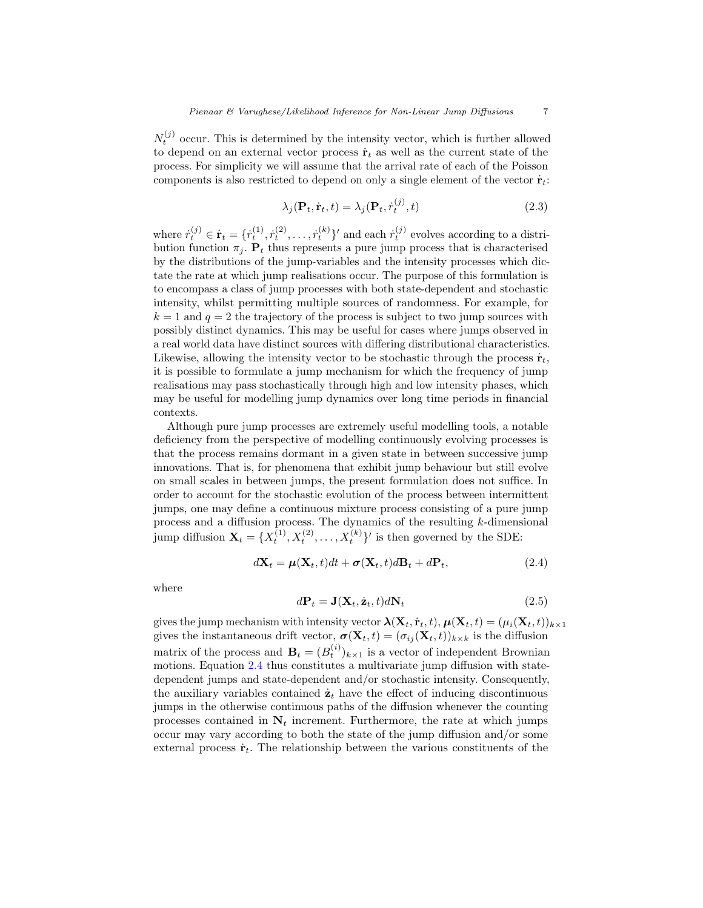$N_t^{(j)}$  occur. This is determined by the intensity vector, which is further allowed to depend on an external vector process  $\dot{\mathbf{r}}_t$  as well as the current state of the process. For simplicity we will assume that the arrival rate of each of the Poisson components is also restricted to depend on only a single element of the vector  $\dot{\mathbf{r}}_t$ :

$$
\lambda_j(\mathbf{P}_t, \dot{\mathbf{r}}_t, t) = \lambda_j(\mathbf{P}_t, \dot{r}_t^{(j)}, t)
$$
\n(2.3)

where  $\dot{r}_t^{(j)} \in \dot{\mathbf{r}}_t = \{\dot{r}_t^{(1)}, \dot{r}_t^{(2)}, \dots, \dot{r}_t^{(k)}\}'$  and each  $\dot{r}_t^{(j)}$  evolves according to a distribution function  $\pi_j$ .  $P_t$  thus represents a pure jump process that is characterised by the distributions of the jump-variables and the intensity processes which dictate the rate at which jump realisations occur. The purpose of this formulation is to encompass a class of jump processes with both state-dependent and stochastic intensity, whilst permitting multiple sources of randomness. For example, for  $k = 1$  and  $q = 2$  the trajectory of the process is subject to two jump sources with possibly distinct dynamics. This may be useful for cases where jumps observed in a real world data have distinct sources with differing distributional characteristics. Likewise, allowing the intensity vector to be stochastic through the process  $\dot{\mathbf{r}}_t$ , it is possible to formulate a jump mechanism for which the frequency of jump realisations may pass stochastically through high and low intensity phases, which may be useful for modelling jump dynamics over long time periods in financial contexts.

Although pure jump processes are extremely useful modelling tools, a notable deficiency from the perspective of modelling continuously evolving processes is that the process remains dormant in a given state in between successive jump innovations. That is, for phenomena that exhibit jump behaviour but still evolve on small scales in between jumps, the present formulation does not suffice. In order to account for the stochastic evolution of the process between intermittent jumps, one may define a continuous mixture process consisting of a pure jump process and a diffusion process. The dynamics of the resulting k-dimensional jump diffusion  $\mathbf{X}_t = \{X_t^{(1)}, X_t^{(2)}, \dots, X_t^{(k)}\}'$  is then governed by the SDE:

$$
d\mathbf{X}_t = \boldsymbol{\mu}(\mathbf{X}_t, t)dt + \boldsymbol{\sigma}(\mathbf{X}_t, t)d\mathbf{B}_t + d\mathbf{P}_t, \qquad (2.4)
$$

where

$$
d\mathbf{P}_t = \mathbf{J}(\mathbf{X}_t, \dot{\mathbf{z}}_t, t) d\mathbf{N}_t
$$
\n(2.5)

gives the jump mechanism with intensity vector  $\mathbf{\lambda}(\mathbf{X}_t, \dot{\mathbf{r}}_t, t), \mathbf{\mu}(\mathbf{X}_t, t) = (\mu_i(\mathbf{X}_t, t))_{k \times 1}$ gives the instantaneous drift vector,  $\boldsymbol{\sigma}(\mathbf{X}_t, t) = (\sigma_{ij}(\mathbf{X}_t, t))_{k \times k}$  is the diffusion matrix of the process and  $\mathbf{B}_t = (B_t^{(i)})_{k \times 1}$  is a vector of independent Brownian motions. Equation 2.4 thus constitutes a multivariate jump diffusion with statedependent jumps and state-dependent and/or stochastic intensity. Consequently, the auxiliary variables contained  $\dot{\mathbf{z}}_t$  have the effect of inducing discontinuous jumps in the otherwise continuous paths of the diffusion whenever the counting processes contained in  $N_t$  increment. Furthermore, the rate at which jumps occur may vary according to both the state of the jump diffusion and/or some external process  $\dot{\mathbf{r}}_t$ . The relationship between the various constituents of the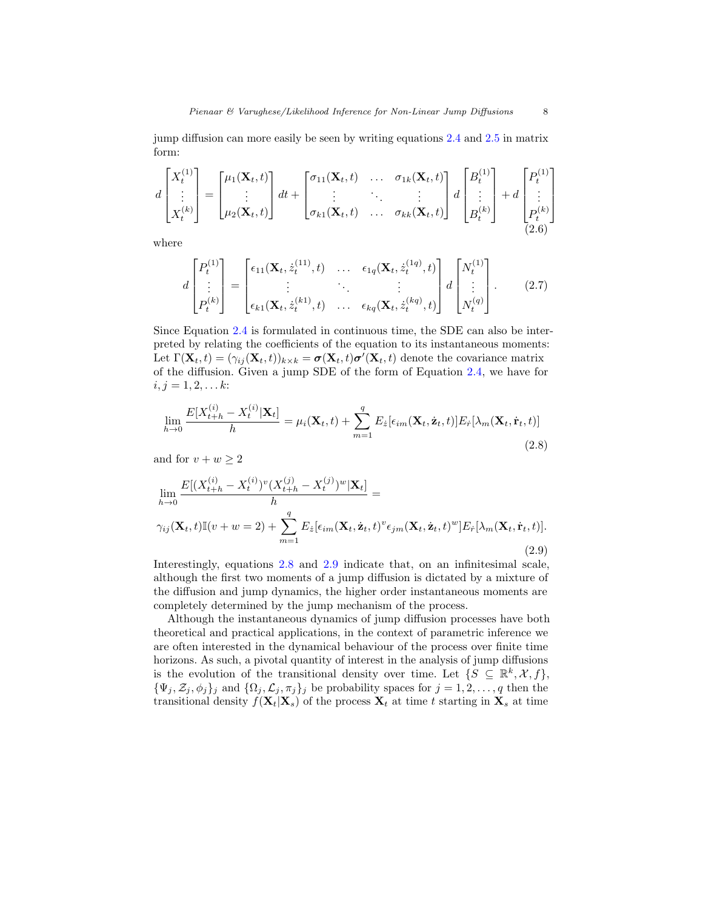jump diffusion can more easily be seen by writing equations 2.4 and 2.5 in matrix form:

$$
d\begin{bmatrix} X_t^{(1)} \\ \vdots \\ X_t^{(k)} \end{bmatrix} = \begin{bmatrix} \mu_1(\mathbf{X}_t, t) \\ \vdots \\ \mu_2(\mathbf{X}_t, t) \end{bmatrix} dt + \begin{bmatrix} \sigma_{11}(\mathbf{X}_t, t) & \dots & \sigma_{1k}(\mathbf{X}_t, t) \\ \vdots & \ddots & \vdots \\ \sigma_{k1}(\mathbf{X}_t, t) & \dots & \sigma_{kk}(\mathbf{X}_t, t) \end{bmatrix} d\begin{bmatrix} B_t^{(1)} \\ \vdots \\ B_t^{(k)} \end{bmatrix} + d\begin{bmatrix} P_t^{(1)} \\ \vdots \\ P_t^{(k)} \end{bmatrix}
$$
(2.6)

where

$$
d\begin{bmatrix}P_t^{(1)} \\ \vdots \\ P_t^{(k)}\end{bmatrix} = \begin{bmatrix} \epsilon_{11}(\mathbf{X}_t, z_t^{(11)}, t) & \dots & \epsilon_{1q}(\mathbf{X}_t, z_t^{(1q)}, t) \\ \vdots & \ddots & \vdots \\ \epsilon_{k1}(\mathbf{X}_t, z_t^{(k1)}, t) & \dots & \epsilon_{kq}(\mathbf{X}_t, z_t^{(kq)}, t)\end{bmatrix} d\begin{bmatrix}N_t^{(1)} \\ \vdots \\ N_t^{(q)}\end{bmatrix}.
$$
 (2.7)

Since Equation 2.4 is formulated in continuous time, the SDE can also be interpreted by relating the coefficients of the equation to its instantaneous moments: Let  $\Gamma(\mathbf{X}_t,t) = (\gamma_{ij}(\mathbf{X}_t,t))_{k \times k} = \sigma(\mathbf{X}_t,t)\sigma'(\mathbf{X}_t,t)$  denote the covariance matrix of the diffusion. Given a jump SDE of the form of Equation 2.4, we have for  $i, j = 1, 2, \ldots k$ :

$$
\lim_{h \to 0} \frac{E[X_{t+h}^{(i)} - X_t^{(i)} | \mathbf{X}_t]}{h} = \mu_i(\mathbf{X}_t, t) + \sum_{m=1}^q E_{\dot{z}}[\epsilon_{im}(\mathbf{X}_t, \dot{\mathbf{z}}_t, t)] E_{\dot{r}}[\lambda_m(\mathbf{X}_t, \dot{\mathbf{r}}_t, t)]
$$
\n(2.8)

and for  $v + w \geq 2$ 

$$
\lim_{h\to 0} \frac{E[(X_{t+h}^{(i)} - X_t^{(i)})^v (X_{t+h}^{(j)} - X_t^{(j)})^w | \mathbf{X}_t]}{h} = \gamma_{ij}(\mathbf{X}_t, t) \mathbb{I}(v+w=2) + \sum_{m=1}^q E_{\hat{z}}[\epsilon_{im}(\mathbf{X}_t, \dot{\mathbf{z}}_t, t)^v \epsilon_{jm}(\mathbf{X}_t, \dot{\mathbf{z}}_t, t)^w] E_{\hat{r}}[\lambda_m(\mathbf{X}_t, \dot{\mathbf{r}}_t, t)].
$$
\n(2.9)

Interestingly, equations 2.8 and 2.9 indicate that, on an infinitesimal scale, although the first two moments of a jump diffusion is dictated by a mixture of the diffusion and jump dynamics, the higher order instantaneous moments are completely determined by the jump mechanism of the process.

Although the instantaneous dynamics of jump diffusion processes have both theoretical and practical applications, in the context of parametric inference we are often interested in the dynamical behaviour of the process over finite time horizons. As such, a pivotal quantity of interest in the analysis of jump diffusions is the evolution of the transitional density over time. Let  $\{S \subseteq \mathbb{R}^k, X, f\},\$  ${\{\Psi_j, \mathcal{Z}_j, \phi_j\}_j}$  and  ${\{\Omega_j, \mathcal{L}_j, \pi_j\}_j}$  be probability spaces for  $j = 1, 2, ..., q$  then the transitional density  $f(\mathbf{X}_t|\mathbf{X}_s)$  of the process  $\mathbf{X}_t$  at time t starting in  $\mathbf{X}_s$  at time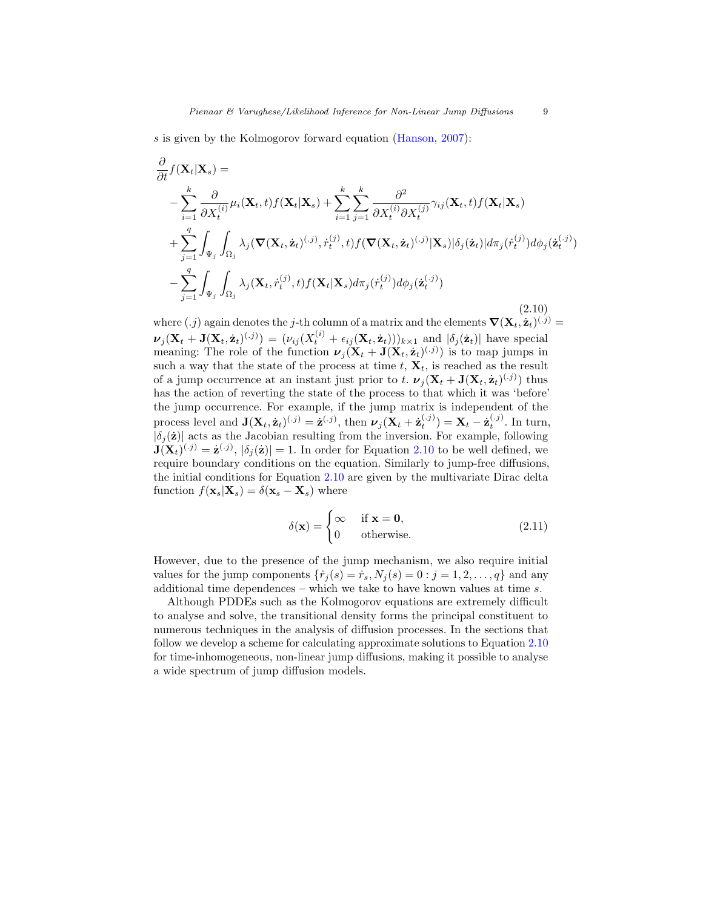s is given by the Kolmogorov forward equation (Hanson, 2007):

∂

$$
\frac{\partial}{\partial t} f(\mathbf{X}_t | \mathbf{X}_s) =
$$
\n
$$
- \sum_{i=1}^k \frac{\partial}{\partial X_i^{(i)}} \mu_i(\mathbf{X}_t, t) f(\mathbf{X}_t | \mathbf{X}_s) + \sum_{i=1}^k \sum_{j=1}^k \frac{\partial^2}{\partial X_i^{(i)} \partial X_i^{(j)}} \gamma_{ij}(\mathbf{X}_t, t) f(\mathbf{X}_t | \mathbf{X}_s)
$$
\n
$$
+ \sum_{j=1}^q \int_{\Psi_j} \int_{\Omega_j} \lambda_j(\nabla(\mathbf{X}_t, \dot{\mathbf{z}}_t)^{(.j)}, \dot{r}_t^{(j)}, t) f(\nabla(\mathbf{X}_t, \dot{\mathbf{z}}_t)^{(.j)} | \mathbf{X}_s) |\delta_j(\dot{\mathbf{z}}_t)| d\pi_j(\dot{r}_t^{(j)}) d\phi_j(\dot{\mathbf{z}}_t^{(.j)})
$$
\n
$$
- \sum_{j=1}^q \int_{\Psi_j} \int_{\Omega_j} \lambda_j(\mathbf{X}_t, \dot{r}_t^{(j)}, t) f(\mathbf{X}_t | \mathbf{X}_s) d\pi_j(\dot{r}_t^{(j)}) d\phi_j(\dot{\mathbf{z}}_t^{(.j)})
$$
\n(2.10)

where  $(j)$  again denotes the j-th column of a matrix and the elements  $\nabla(\mathbf{X}_t, \dot{\mathbf{z}}_t)^{(.j)} =$  $\nu_j(\mathbf{X}_t + \mathbf{J}(\mathbf{X}_t, \dot{\mathbf{z}}_t)^{(j)}) = (\nu_{ij}(X_t^{(i)} + \epsilon_{ij}(\mathbf{X}_t, \dot{\mathbf{z}}_t)))_{k \times 1}$  and  $|\delta_j(\dot{\mathbf{z}}_t)|$  have special meaning: The role of the function  $\nu_j(\mathbf{X}_t + \mathbf{J}(\mathbf{X}_t, \dot{\mathbf{z}}_t)^{(.j)})$  is to map jumps in such a way that the state of the process at time  $t, X_t$ , is reached as the result of a jump occurrence at an instant just prior to t.  $\nu_j(\mathbf{X}_t + \mathbf{J}(\mathbf{X}_t, \dot{\mathbf{z}}_t)^{(.j)})$  thus has the action of reverting the state of the process to that which it was 'before' the jump occurrence. For example, if the jump matrix is independent of the process level and  $\mathbf{J}(\mathbf{X}_t, \dot{\mathbf{z}}_t)^{(.j)} = \dot{\mathbf{z}}^{(.j)}$ , then  $\boldsymbol{\nu}_j(\mathbf{X}_t + \dot{\mathbf{z}}_t^{(.j)}) = \mathbf{X}_t - \dot{\mathbf{z}}_t^{(.j)}$ . In turn,  $|\delta_j(\mathbf{z})|$  acts as the Jacobian resulting from the inversion. For example, following  $J(X_t)^{(j)} = \dot{z}^{(j)}, |\delta_j(\dot{z})| = 1.$  In order for Equation 2.10 to be well defined, we require boundary conditions on the equation. Similarly to jump-free diffusions, the initial conditions for Equation 2.10 are given by the multivariate Dirac delta function  $f(\mathbf{x}_s|\mathbf{X}_s) = \delta(\mathbf{x}_s - \mathbf{X}_s)$  where

$$
\delta(\mathbf{x}) = \begin{cases} \infty & \text{if } \mathbf{x} = \mathbf{0}, \\ 0 & \text{otherwise.} \end{cases}
$$
 (2.11)

However, due to the presence of the jump mechanism, we also require initial values for the jump components  $\{\dot{r}_j(s) = \dot{r}_s, N_j(s) = 0 : j = 1, 2, \ldots, q\}$  and any additional time dependences – which we take to have known values at time s.

Although PDDEs such as the Kolmogorov equations are extremely difficult to analyse and solve, the transitional density forms the principal constituent to numerous techniques in the analysis of diffusion processes. In the sections that follow we develop a scheme for calculating approximate solutions to Equation 2.10 for time-inhomogeneous, non-linear jump diffusions, making it possible to analyse a wide spectrum of jump diffusion models.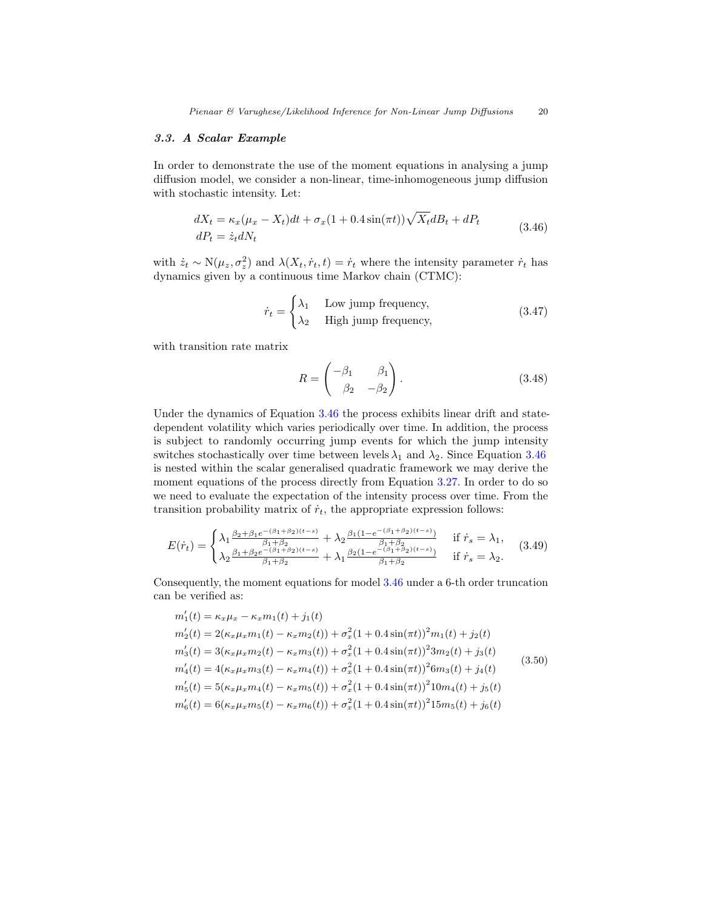## 3.3. A Scalar Example

In order to demonstrate the use of the moment equations in analysing a jump diffusion model, we consider a non-linear, time-inhomogeneous jump diffusion with stochastic intensity. Let:

$$
dX_t = \kappa_x (\mu_x - X_t) dt + \sigma_x (1 + 0.4 \sin(\pi t)) \sqrt{X_t} dB_t + dP_t
$$
  
\n
$$
dP_t = \dot{z}_t dN_t
$$
\n(3.46)

with  $\dot{z}_t \sim N(\mu_z, \sigma_z^2)$  and  $\lambda(X_t, \dot{r}_t, t) = \dot{r}_t$  where the intensity parameter  $\dot{r}_t$  has dynamics given by a continuous time Markov chain (CTMC):

$$
\dot{r}_t = \begin{cases} \lambda_1 & \text{Low jump frequency,} \\ \lambda_2 & \text{High jump frequency,} \end{cases}
$$
 (3.47)

with transition rate matrix

$$
R = \begin{pmatrix} -\beta_1 & \beta_1 \\ \beta_2 & -\beta_2 \end{pmatrix} . \tag{3.48}
$$

Under the dynamics of Equation 3.46 the process exhibits linear drift and statedependent volatility which varies periodically over time. In addition, the process is subject to randomly occurring jump events for which the jump intensity switches stochastically over time between levels  $\lambda_1$  and  $\lambda_2$ . Since Equation 3.46 is nested within the scalar generalised quadratic framework we may derive the moment equations of the process directly from Equation 3.27. In order to do so we need to evaluate the expectation of the intensity process over time. From the transition probability matrix of  $\dot{r}_t$ , the appropriate expression follows:

$$
E(\dot{r}_t) = \begin{cases} \lambda_1 \frac{\beta_2 + \beta_1 e^{-(\beta_1 + \beta_2)(t-s)}}{\beta_1 + \beta_2} + \lambda_2 \frac{\beta_1 (1 - e^{-(\beta_1 + \beta_2)(t-s)}}{\beta_1 + \beta_2}) & \text{if } \dot{r}_s = \lambda_1, \\ \lambda_2 \frac{\beta_1 + \beta_2 e^{-(\beta_1 + \beta_2)(t-s)}}{\beta_1 + \beta_2} + \lambda_1 \frac{\beta_2 (1 - e^{-(\beta_1 + \beta_2)(t-s)}}{\beta_1 + \beta_2}) & \text{if } \dot{r}_s = \lambda_2. \end{cases} (3.49)
$$

Consequently, the moment equations for model 3.46 under a 6-th order truncation can be verified as:

$$
m'_1(t) = \kappa_x \mu_x - \kappa_x m_1(t) + j_1(t)
$$
  
\n
$$
m'_2(t) = 2(\kappa_x \mu_x m_1(t) - \kappa_x m_2(t)) + \sigma_x^2 (1 + 0.4 \sin(\pi t))^2 m_1(t) + j_2(t)
$$
  
\n
$$
m'_3(t) = 3(\kappa_x \mu_x m_2(t) - \kappa_x m_3(t)) + \sigma_x^2 (1 + 0.4 \sin(\pi t))^2 3m_2(t) + j_3(t)
$$
  
\n
$$
m'_4(t) = 4(\kappa_x \mu_x m_3(t) - \kappa_x m_4(t)) + \sigma_x^2 (1 + 0.4 \sin(\pi t))^2 6m_3(t) + j_4(t)
$$
  
\n
$$
m'_5(t) = 5(\kappa_x \mu_x m_4(t) - \kappa_x m_5(t)) + \sigma_x^2 (1 + 0.4 \sin(\pi t))^2 10m_4(t) + j_5(t)
$$
  
\n
$$
m'_6(t) = 6(\kappa_x \mu_x m_5(t) - \kappa_x m_6(t)) + \sigma_x^2 (1 + 0.4 \sin(\pi t))^2 15m_5(t) + j_6(t)
$$
\n(3.50)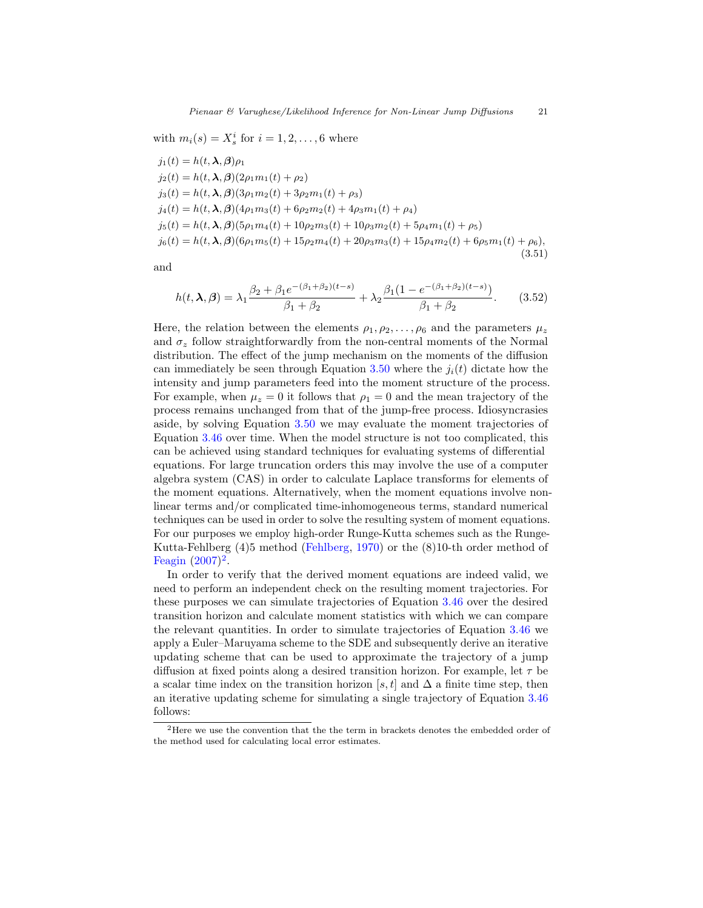with  $m_i(s) = X_s^i$  for  $i = 1, 2, ..., 6$  where

$$
j_1(t) = h(t, \lambda, \beta)\rho_1
$$
  
\n
$$
j_2(t) = h(t, \lambda, \beta)(2\rho_1 m_1(t) + \rho_2)
$$
  
\n
$$
j_3(t) = h(t, \lambda, \beta)(3\rho_1 m_2(t) + 3\rho_2 m_1(t) + \rho_3)
$$
  
\n
$$
j_4(t) = h(t, \lambda, \beta)(4\rho_1 m_3(t) + 6\rho_2 m_2(t) + 4\rho_3 m_1(t) + \rho_4)
$$
  
\n
$$
j_5(t) = h(t, \lambda, \beta)(5\rho_1 m_4(t) + 10\rho_2 m_3(t) + 10\rho_3 m_2(t) + 5\rho_4 m_1(t) + \rho_5)
$$
  
\n
$$
j_6(t) = h(t, \lambda, \beta)(6\rho_1 m_5(t) + 15\rho_2 m_4(t) + 20\rho_3 m_3(t) + 15\rho_4 m_2(t) + 6\rho_5 m_1(t) + \rho_6),
$$
\n(3.51)

and

$$
h(t, \lambda, \beta) = \lambda_1 \frac{\beta_2 + \beta_1 e^{-(\beta_1 + \beta_2)(t-s)}}{\beta_1 + \beta_2} + \lambda_2 \frac{\beta_1 (1 - e^{-(\beta_1 + \beta_2)(t-s)})}{\beta_1 + \beta_2}.
$$
 (3.52)

Here, the relation between the elements  $\rho_1, \rho_2, \ldots, \rho_6$  and the parameters  $\mu_z$ and  $\sigma_z$  follow straightforwardly from the non-central moments of the Normal distribution. The effect of the jump mechanism on the moments of the diffusion can immediately be seen through Equation 3.50 where the  $j_i(t)$  dictate how the intensity and jump parameters feed into the moment structure of the process. For example, when  $\mu_z = 0$  it follows that  $\rho_1 = 0$  and the mean trajectory of the process remains unchanged from that of the jump-free process. Idiosyncrasies aside, by solving Equation 3.50 we may evaluate the moment trajectories of Equation 3.46 over time. When the model structure is not too complicated, this can be achieved using standard techniques for evaluating systems of differential equations. For large truncation orders this may involve the use of a computer algebra system (CAS) in order to calculate Laplace transforms for elements of the moment equations. Alternatively, when the moment equations involve nonlinear terms and/or complicated time-inhomogeneous terms, standard numerical techniques can be used in order to solve the resulting system of moment equations. For our purposes we employ high-order Runge-Kutta schemes such as the Runge-Kutta-Fehlberg (4)5 method (Fehlberg, 1970) or the (8)10-th order method of Feagin  $(2007)^2$ .

In order to verify that the derived moment equations are indeed valid, we need to perform an independent check on the resulting moment trajectories. For these purposes we can simulate trajectories of Equation 3.46 over the desired transition horizon and calculate moment statistics with which we can compare the relevant quantities. In order to simulate trajectories of Equation 3.46 we apply a Euler–Maruyama scheme to the SDE and subsequently derive an iterative updating scheme that can be used to approximate the trajectory of a jump diffusion at fixed points along a desired transition horizon. For example, let  $\tau$  be a scalar time index on the transition horizon [s, t] and  $\Delta$  a finite time step, then an iterative updating scheme for simulating a single trajectory of Equation 3.46 follows:

<sup>&</sup>lt;sup>2</sup>Here we use the convention that the the term in brackets denotes the embedded order of the method used for calculating local error estimates.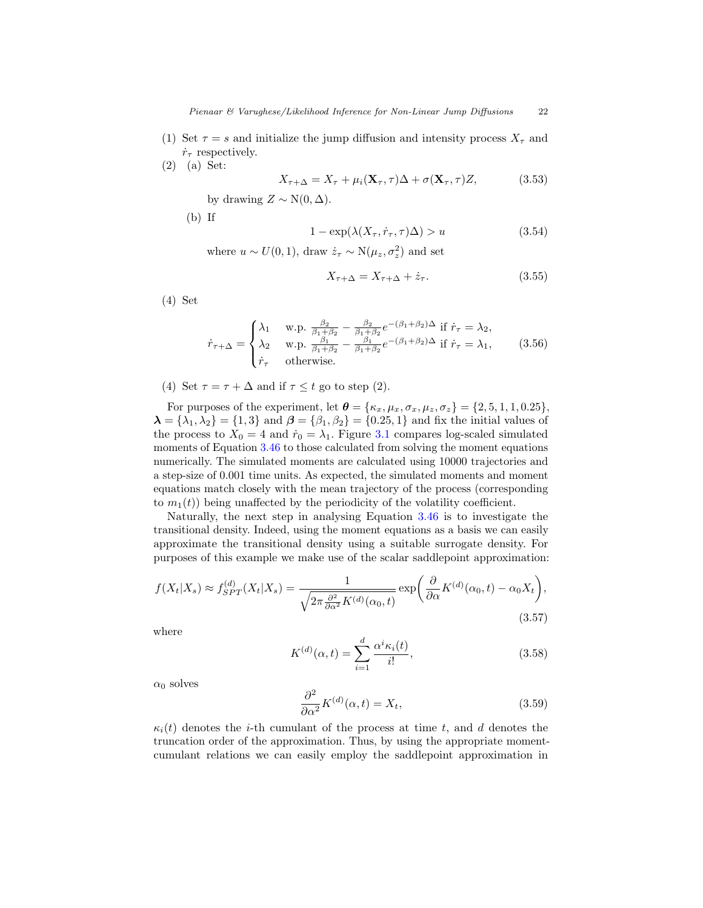- (1) Set  $\tau = s$  and initialize the jump diffusion and intensity process  $X_{\tau}$  and  $\dot{r}_{\tau}$  respectively.
- (2) (a) Set:

$$
X_{\tau+\Delta} = X_{\tau} + \mu_i(\mathbf{X}_{\tau}, \tau)\Delta + \sigma(\mathbf{X}_{\tau}, \tau)Z, \tag{3.53}
$$

by drawing  $Z \sim N(0, \Delta)$ .

(b) If

$$
1 - \exp(\lambda(X_{\tau}, \dot{r}_{\tau}, \tau)\Delta) > u \tag{3.54}
$$

where  $u \sim U(0, 1)$ , draw  $\dot{z}_{\tau} \sim N(\mu_z, \sigma_z^2)$  and set

$$
X_{\tau+\Delta} = X_{\tau+\Delta} + \dot{z}_{\tau}.\tag{3.55}
$$

(4) Set

$$
\dot{r}_{\tau+\Delta} = \begin{cases} \lambda_1 & \text{w.p. } \frac{\beta_2}{\beta_1 + \beta_2} - \frac{\beta_2}{\beta_1 + \beta_2} e^{-(\beta_1 + \beta_2)\Delta} \text{ if } \dot{r}_{\tau} = \lambda_2, \\ \lambda_2 & \text{w.p. } \frac{\beta_1}{\beta_1 + \beta_2} - \frac{\beta_1}{\beta_1 + \beta_2} e^{-(\beta_1 + \beta_2)\Delta} \text{ if } \dot{r}_{\tau} = \lambda_1, \\ \dot{r}_{\tau} & \text{otherwise.} \end{cases} \tag{3.56}
$$

(4) Set  $\tau = \tau + \Delta$  and if  $\tau \leq t$  go to step (2).

For purposes of the experiment, let  $\boldsymbol{\theta} = {\kappa_x, \mu_x, \sigma_x, \mu_z, \sigma_z} = {2, 5, 1, 1, 0.25}$  $\lambda = {\lambda_1, \lambda_2} = {1, 3}$  and  $\beta = {\beta_1, \beta_2} = {0.25, 1}$  and fix the initial values of the process to  $X_0 = 4$  and  $\dot{r}_0 = \lambda_1$ . Figure 3.1 compares log-scaled simulated moments of Equation 3.46 to those calculated from solving the moment equations numerically. The simulated moments are calculated using 10000 trajectories and a step-size of 0.001 time units. As expected, the simulated moments and moment equations match closely with the mean trajectory of the process (corresponding to  $m_1(t)$ ) being unaffected by the periodicity of the volatility coefficient.

Naturally, the next step in analysing Equation 3.46 is to investigate the transitional density. Indeed, using the moment equations as a basis we can easily approximate the transitional density using a suitable surrogate density. For purposes of this example we make use of the scalar saddlepoint approximation:

$$
f(X_t|X_s) \approx f_{SPT}^{(d)}(X_t|X_s) = \frac{1}{\sqrt{2\pi \frac{\partial^2}{\partial \alpha^2} K^{(d)}(\alpha_0, t)}} \exp\bigg(\frac{\partial}{\partial \alpha} K^{(d)}(\alpha_0, t) - \alpha_0 X_t\bigg),\tag{3.57}
$$

where

$$
K^{(d)}(\alpha, t) = \sum_{i=1}^{d} \frac{\alpha^{i} \kappa_{i}(t)}{i!},
$$
\n(3.58)

 $\alpha_0$  solves

$$
\frac{\partial^2}{\partial \alpha^2} K^{(d)}(\alpha, t) = X_t,
$$
\n(3.59)

 $\kappa_i(t)$  denotes the *i*-th cumulant of the process at time t, and d denotes the truncation order of the approximation. Thus, by using the appropriate momentcumulant relations we can easily employ the saddlepoint approximation in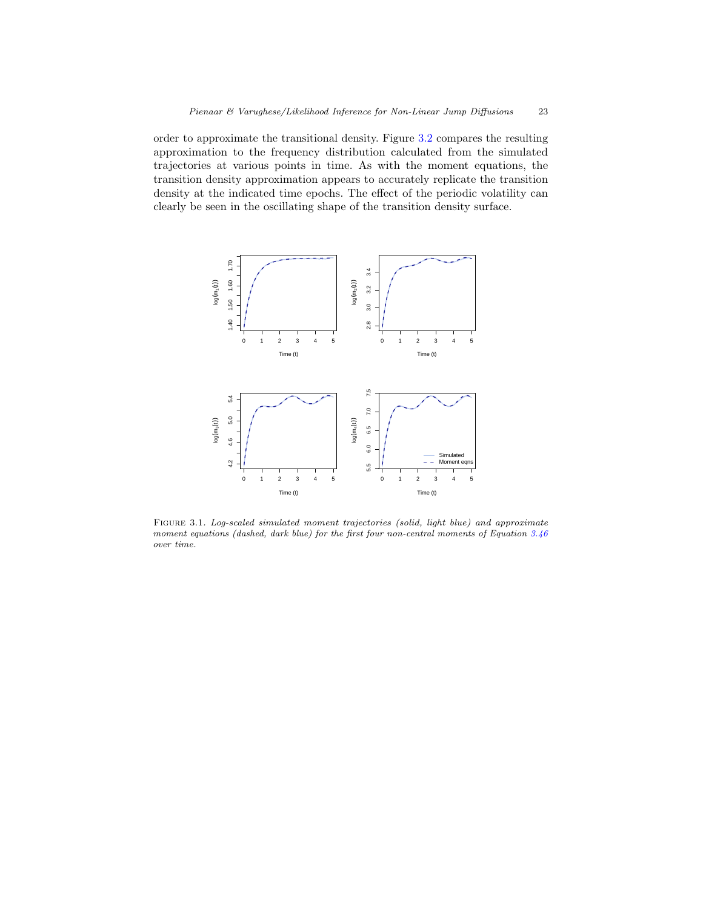order to approximate the transitional density. Figure 3.2 compares the resulting approximation to the frequency distribution calculated from the simulated trajectories at various points in time. As with the moment equations, the transition density approximation appears to accurately replicate the transition density at the indicated time epochs. The effect of the periodic volatility can clearly be seen in the oscillating shape of the transition density surface.



FIGURE 3.1. Log-scaled simulated moment trajectories (solid, light blue) and approximate moment equations (dashed, dark blue) for the first four non-central moments of Equation 3.46 over time.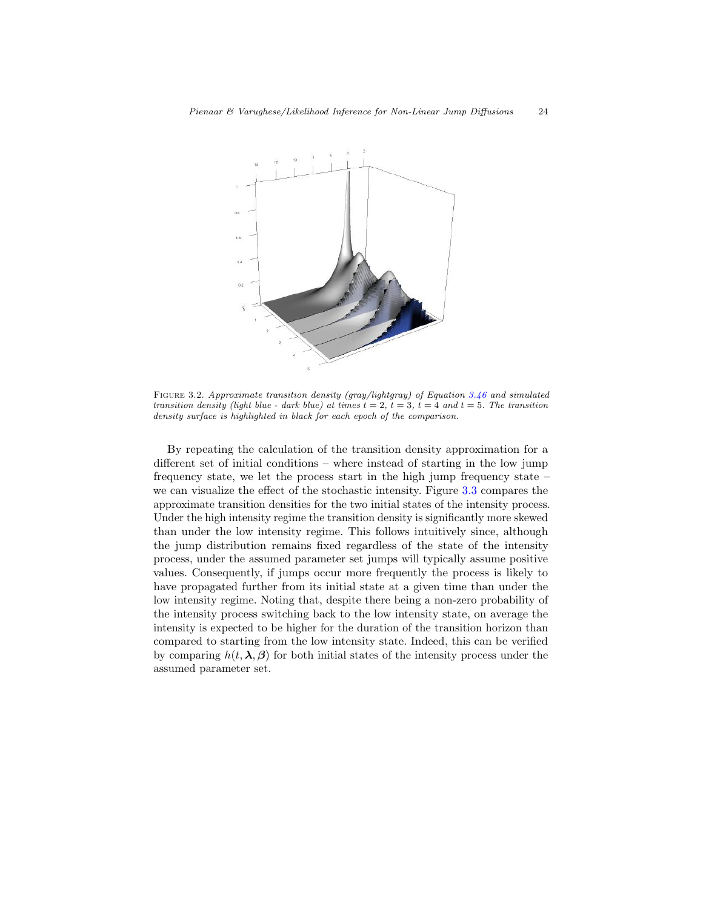

Figure 3.2. Approximate transition density (gray/lightgray) of Equation 3.46 and simulated transition density (light blue - dark blue) at times  $t = 2$ ,  $t = 3$ ,  $t = 4$  and  $t = 5$ . The transition density surface is highlighted in black for each epoch of the comparison.

By repeating the calculation of the transition density approximation for a different set of initial conditions – where instead of starting in the low jump frequency state, we let the process start in the high jump frequency state – we can visualize the effect of the stochastic intensity. Figure 3.3 compares the approximate transition densities for the two initial states of the intensity process. Under the high intensity regime the transition density is significantly more skewed than under the low intensity regime. This follows intuitively since, although the jump distribution remains fixed regardless of the state of the intensity process, under the assumed parameter set jumps will typically assume positive values. Consequently, if jumps occur more frequently the process is likely to have propagated further from its initial state at a given time than under the low intensity regime. Noting that, despite there being a non-zero probability of the intensity process switching back to the low intensity state, on average the intensity is expected to be higher for the duration of the transition horizon than compared to starting from the low intensity state. Indeed, this can be verified by comparing  $h(t, \lambda, \beta)$  for both initial states of the intensity process under the assumed parameter set.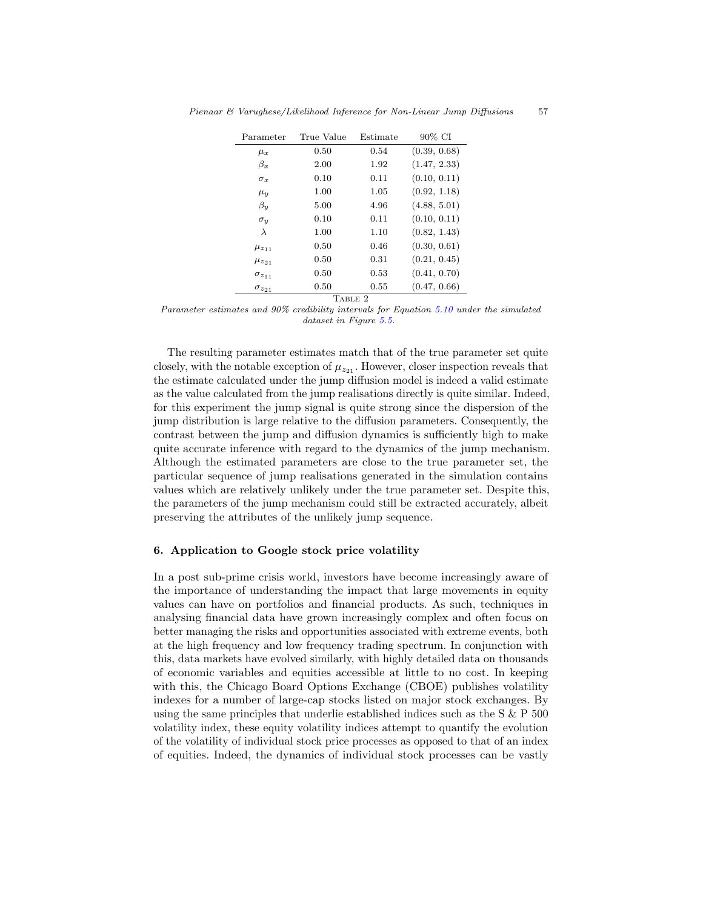| Parameter         | True Value | Estimate | 90% CI       |  |  |  |  |
|-------------------|------------|----------|--------------|--|--|--|--|
| $\mu_x$           | 0.50       | 0.54     | (0.39, 0.68) |  |  |  |  |
| $\beta_x$         | 2.00       | 1.92     | (1.47, 2.33) |  |  |  |  |
| $\sigma_x$        | 0.10       | 0.11     | (0.10, 0.11) |  |  |  |  |
| $\mu_{y}$         | 1.00       | 1.05     | (0.92, 1.18) |  |  |  |  |
| $\beta_u$         | 5.00       | 4.96     | (4.88, 5.01) |  |  |  |  |
| $\sigma_u$        | 0.10       | 0.11     | (0.10, 0.11) |  |  |  |  |
| $\lambda$         | 1.00       | 1.10     | (0.82, 1.43) |  |  |  |  |
| $\mu_{z_{11}}$    | 0.50       | 0.46     | (0.30, 0.61) |  |  |  |  |
| $\mu_{z_{21}}$    | 0.50       | 0.31     | (0.21, 0.45) |  |  |  |  |
| $\sigma_{z_{11}}$ | 0.50       | 0.53     | (0.41, 0.70) |  |  |  |  |
| $\sigma_{z_{21}}$ | 0.50       | 0.55     | (0.47, 0.66) |  |  |  |  |
| TABLE 2           |            |          |              |  |  |  |  |

Parameter estimates and 90% credibility intervals for Equation 5.10 under the simulated dataset in Figure 5.5.

The resulting parameter estimates match that of the true parameter set quite closely, with the notable exception of  $\mu_{z_{21}}$ . However, closer inspection reveals that the estimate calculated under the jump diffusion model is indeed a valid estimate as the value calculated from the jump realisations directly is quite similar. Indeed, for this experiment the jump signal is quite strong since the dispersion of the jump distribution is large relative to the diffusion parameters. Consequently, the contrast between the jump and diffusion dynamics is sufficiently high to make quite accurate inference with regard to the dynamics of the jump mechanism. Although the estimated parameters are close to the true parameter set, the particular sequence of jump realisations generated in the simulation contains values which are relatively unlikely under the true parameter set. Despite this, the parameters of the jump mechanism could still be extracted accurately, albeit preserving the attributes of the unlikely jump sequence.

# 6. Application to Google stock price volatility

In a post sub-prime crisis world, investors have become increasingly aware of the importance of understanding the impact that large movements in equity values can have on portfolios and financial products. As such, techniques in analysing financial data have grown increasingly complex and often focus on better managing the risks and opportunities associated with extreme events, both at the high frequency and low frequency trading spectrum. In conjunction with this, data markets have evolved similarly, with highly detailed data on thousands of economic variables and equities accessible at little to no cost. In keeping with this, the Chicago Board Options Exchange (CBOE) publishes volatility indexes for a number of large-cap stocks listed on major stock exchanges. By using the same principles that underlie established indices such as the S & P 500 volatility index, these equity volatility indices attempt to quantify the evolution of the volatility of individual stock price processes as opposed to that of an index of equities. Indeed, the dynamics of individual stock processes can be vastly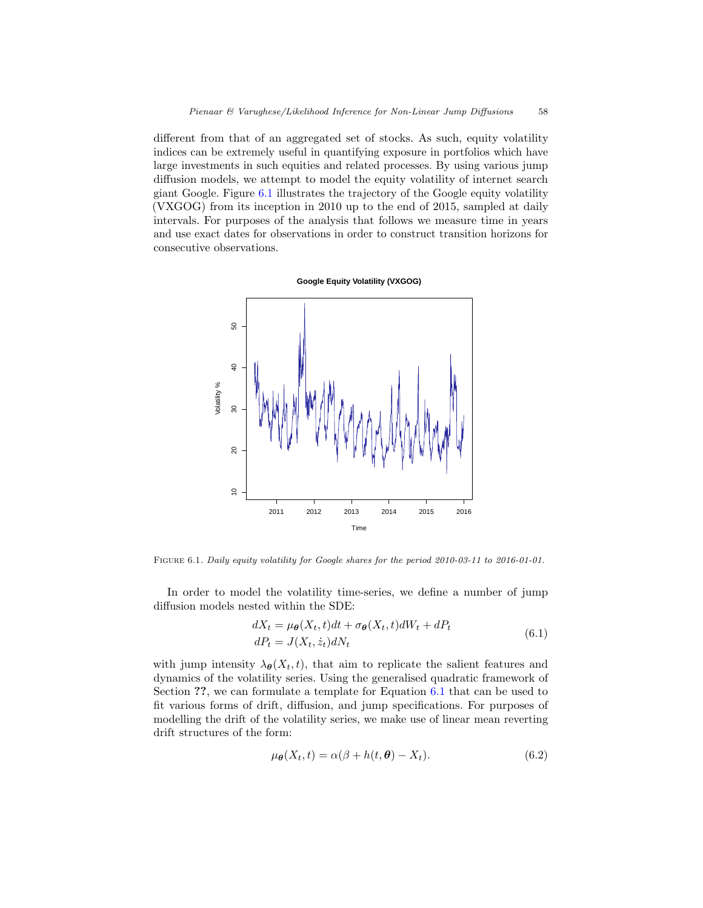different from that of an aggregated set of stocks. As such, equity volatility indices can be extremely useful in quantifying exposure in portfolios which have large investments in such equities and related processes. By using various jump diffusion models, we attempt to model the equity volatility of internet search giant Google. Figure 6.1 illustrates the trajectory of the Google equity volatility (VXGOG) from its inception in 2010 up to the end of 2015, sampled at daily intervals. For purposes of the analysis that follows we measure time in years and use exact dates for observations in order to construct transition horizons for consecutive observations.



Figure 6.1. Daily equity volatility for Google shares for the period 2010-03-11 to 2016-01-01.

In order to model the volatility time-series, we define a number of jump diffusion models nested within the SDE:

$$
dX_t = \mu_{\theta}(X_t, t)dt + \sigma_{\theta}(X_t, t)dW_t + dP_t
$$
  
\n
$$
dP_t = J(X_t, \dot{z}_t)dN_t
$$
\n(6.1)

with jump intensity  $\lambda_{\theta}(X_t, t)$ , that aim to replicate the salient features and dynamics of the volatility series. Using the generalised quadratic framework of Section ??, we can formulate a template for Equation 6.1 that can be used to fit various forms of drift, diffusion, and jump specifications. For purposes of modelling the drift of the volatility series, we make use of linear mean reverting drift structures of the form:

$$
\mu_{\theta}(X_t, t) = \alpha(\beta + h(t, \theta) - X_t). \tag{6.2}
$$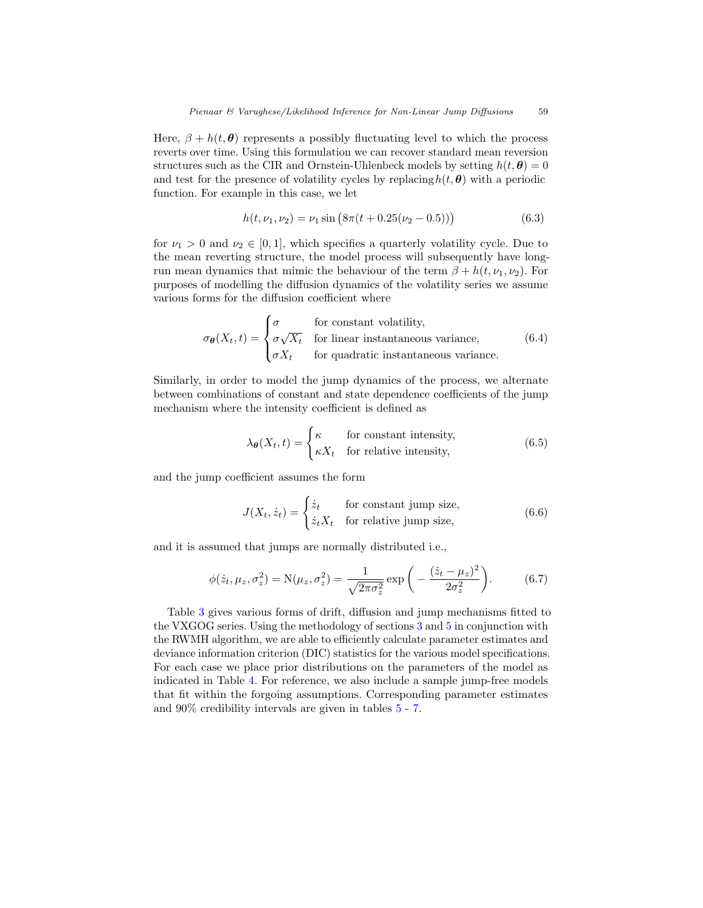Here,  $\beta + h(t, \theta)$  represents a possibly fluctuating level to which the process reverts over time. Using this formulation we can recover standard mean reversion structures such as the CIR and Ornstein-Uhlenbeck models by setting  $h(t, \theta) = 0$ and test for the presence of volatility cycles by replacing  $h(t, \theta)$  with a periodic function. For example in this case, we let

$$
h(t, \nu_1, \nu_2) = \nu_1 \sin \left( 8\pi (t + 0.25(\nu_2 - 0.5)) \right) \tag{6.3}
$$

for  $\nu_1 > 0$  and  $\nu_2 \in [0, 1]$ , which specifies a quarterly volatility cycle. Due to the mean reverting structure, the model process will subsequently have longrun mean dynamics that mimic the behaviour of the term  $\beta + h(t, \nu_1, \nu_2)$ . For purposes of modelling the diffusion dynamics of the volatility series we assume various forms for the diffusion coefficient where

$$
\sigma_{\theta}(X_t, t) = \begin{cases}\n\sigma & \text{for constant volatility,} \\
\sigma \sqrt{X_t} & \text{for linear instantaneous variance,} \\
\sigma X_t & \text{for quadratic instantaneous variance.} \n\end{cases}
$$
\n(6.4)

Similarly, in order to model the jump dynamics of the process, we alternate between combinations of constant and state dependence coefficients of the jump mechanism where the intensity coefficient is defined as

$$
\lambda_{\theta}(X_t, t) = \begin{cases} \kappa & \text{for constant intensity,} \\ \kappa X_t & \text{for relative intensity,} \end{cases}
$$
 (6.5)

and the jump coefficient assumes the form

$$
J(X_t, \dot{z}_t) = \begin{cases} \dot{z}_t & \text{for constant jump size,} \\ \dot{z}_t X_t & \text{for relative jump size,} \end{cases}
$$
(6.6)

and it is assumed that jumps are normally distributed i.e.,

$$
\phi(\dot{z}_t, \mu_z, \sigma_z^2) = N(\mu_z, \sigma_z^2) = \frac{1}{\sqrt{2\pi\sigma_z^2}} \exp\left(-\frac{(\dot{z}_t - \mu_z)^2}{2\sigma_z^2}\right).
$$
 (6.7)

Table 3 gives various forms of drift, diffusion and jump mechanisms fitted to the VXGOG series. Using the methodology of sections 3 and 5 in conjunction with the RWMH algorithm, we are able to efficiently calculate parameter estimates and deviance information criterion (DIC) statistics for the various model specifications. For each case we place prior distributions on the parameters of the model as indicated in Table 4. For reference, we also include a sample jump-free models that fit within the forgoing assumptions. Corresponding parameter estimates and 90% credibility intervals are given in tables 5 - 7.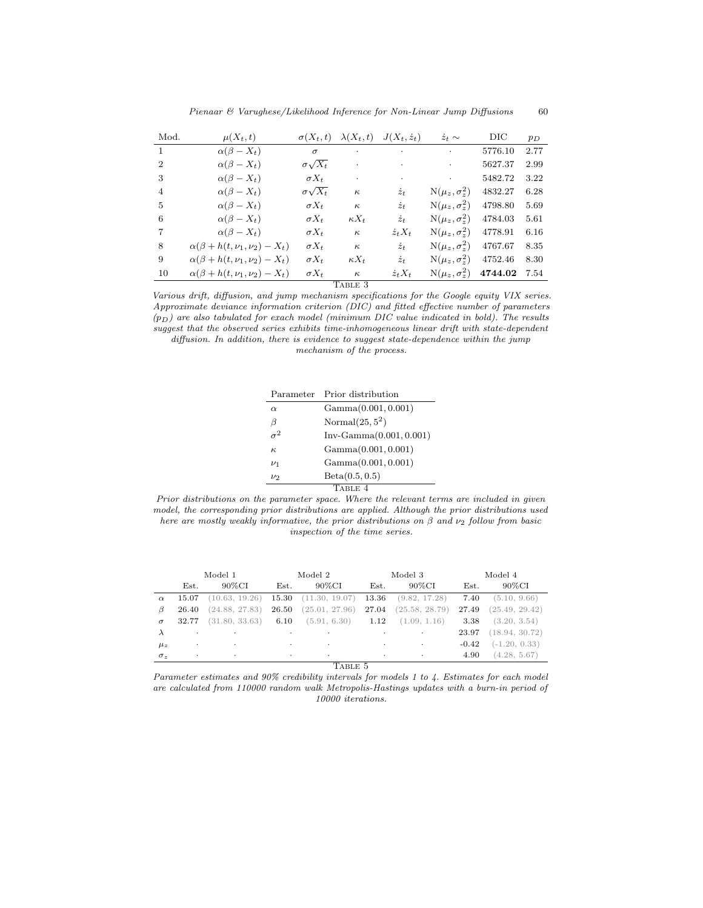| Mod.           | $\mu(X_t,t)$                               | $\sigma(X_t,t)$     | $\lambda(X_t,t)$ | $J(X_t, \dot{z}_t)$ | $\dot{z}_t \sim$       | $_{\rm DIC}$ | $p_D$ |
|----------------|--------------------------------------------|---------------------|------------------|---------------------|------------------------|--------------|-------|
| $\mathbf{1}$   | $\alpha(\beta - X_t)$                      | $\sigma$            | $\bullet$        | ٠                   | $\bullet$              | 5776.10      | 2.77  |
| $\overline{2}$ | $\alpha(\beta-X_t)$                        | $\sigma \sqrt{X_t}$ |                  | ٠                   | $\bullet$              | 5627.37      | 2.99  |
| 3              | $\alpha(\beta - X_t)$                      | $\sigma X_t$        | $\bullet$        | ٠                   | $\bullet$              | 5482.72      | 3.22  |
| 4              | $\alpha(\beta - X_t)$                      | $\sigma \sqrt{X_t}$ | $\kappa$         | $\dot{z}_t$         | $N(\mu_z, \sigma_z^2)$ | 4832.27      | 6.28  |
| 5              | $\alpha(\beta - X_t)$                      | $\sigma X_t$        | $\kappa$         | $\dot{z}_t$         | $N(\mu_z, \sigma_z^2)$ | 4798.80      | 5.69  |
| 6              | $\alpha(\beta - X_t)$                      | $\sigma X_t$        | $\kappa X_t$     | $\dot{z}_t$         | $N(\mu_z, \sigma_z^2)$ | 4784.03      | 5.61  |
| 7              | $\alpha(\beta-X_t)$                        | $\sigma X_t$        | $\kappa$         | $z_t X_t$           | $N(\mu_z, \sigma_z^2)$ | 4778.91      | 6.16  |
| 8              | $\alpha(\beta + h(t, \nu_1, \nu_2) - X_t)$ | $\sigma X_t$        | $\kappa$         | $\dot{z}_t$         | $N(\mu_z, \sigma_z^2)$ | 4767.67      | 8.35  |
| 9              | $\alpha(\beta + h(t, \nu_1, \nu_2) - X_t)$ | $\sigma X_t$        | $\kappa X_t$     | $\dot{z}_t$         | $N(\mu_z, \sigma_z^2)$ | 4752.46      | 8.30  |
| 10             | $\alpha(\beta + h(t, \nu_1, \nu_2) - X_t)$ | $\sigma X_t$        | $\kappa$         | $z_t X_t$           | $N(\mu_z, \sigma_z^2)$ | 4744.02      | 7.54  |
|                |                                            |                     | TABLE 3          |                     |                        |              |       |

Various drift, diffusion, and jump mechanism specifications for the Google equity VIX series. Approximate deviance information criterion (DIC) and fitted effective number of parameters  $(p_D)$  are also tabulated for exach model (minimum DIC value indicated in bold). The results suggest that the observed series exhibits time-inhomogeneous linear drift with state-dependent diffusion. In addition, there is evidence to suggest state-dependence within the jump

mechanism of the process.

|          | Parameter Prior distribution |
|----------|------------------------------|
| $\alpha$ | Gamma(0.001, 0.001)          |
| β        | Normal $(25,5^2)$            |
|          | $Inv-Gamma(0.001, 0.001)$    |
| $\kappa$ | Gamma(0.001, 0.001)          |
| $\nu_1$  | Gamma(0.001, 0.001)          |
| $\nu_2$  | Beta(0.5, 0.5)               |
|          | TABLE 4                      |

Prior distributions on the parameter space. Where the relevant terms are included in given model, the corresponding prior distributions are applied. Although the prior distributions used here are mostly weakly informative, the prior distributions on  $\beta$  and  $\nu_2$  follow from basic inspection of the time series.

|            | Model 1   |                | Model 2   |                          | Model 3 |                | Model 4 |                 |
|------------|-----------|----------------|-----------|--------------------------|---------|----------------|---------|-----------------|
|            | Est.      | $90\%$ CI      | Est.      | $90\%$ CI                | Est.    | $90\%$ CI      | Est.    | $90\%$ CI       |
| $\alpha$   | 15.07     | (10.63, 19.26) |           | $15.30$ $(11.30, 19.07)$ | 13.36   | (9.82, 17.28)  | 7.40    | (5.10, 9.66)    |
| B          | 26.40     | (24.88, 27.83) | 26.50     | (25.01, 27.96)           | 27.04   | (25.58, 28.79) | 27.49   | (25.49, 29.42)  |
| $\sigma$   | 32.77     | (31.80, 33.63) | 6.10      | $(5.91, 6.30)$ 1.12      |         | (1.09, 1.16)   | 3.38    | (3.20, 3.54)    |
| $\lambda$  | ٠         | ٠              | $\bullet$ | ٠                        |         | $\cdot$        | 23.97   | (18.94, 30.72)  |
| $\mu_z$    | $\bullet$ | $\cdot$        | $\cdot$   | $\cdot$                  | $\cdot$ | $\cdot$        | $-0.42$ | $(-1.20, 0.33)$ |
| $\sigma_z$ | $\cdot$   | $\cdot$        | $\bullet$ | $\bullet$                | $\cdot$ | $\cdot$        | 4.90    | (4.28, 5.67)    |

TABLE 5

Parameter estimates and 90% credibility intervals for models 1 to 4. Estimates for each model are calculated from 110000 random walk Metropolis-Hastings updates with a burn-in period of 10000 iterations.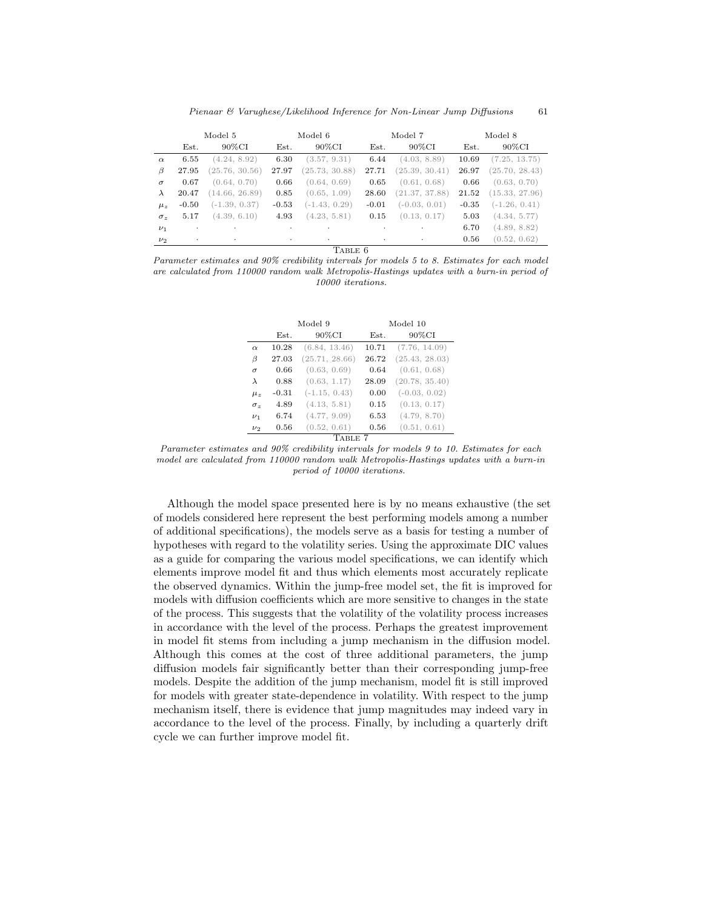Pienaar & Varughese/Likelihood Inference for Non-Linear Jump Diffusions 61

| 90%CI<br>90%CI<br>90%CI<br>90%CI<br>Est.<br>Est.<br>Est.<br>Est.<br>(4.24, 8.92)<br>6.30<br>(3.57, 9.31)<br>(4.03, 8.89)<br>(7.25, 13.75)<br>6.55<br>6.44<br>10.69<br>$\alpha$<br>(25.76, 30.56)<br>(25.39, 30.41)<br>(25.70, 28.43)<br>(25.73, 30.88)<br>27.97<br>27.71<br>26.97<br>27.95<br>B<br>(0.63, 0.70)<br>(0.64, 0.70)<br>(0.64, 0.69)<br>(0.61, 0.68)<br>0.67<br>0.66<br>0.66<br>0.65<br>$\sigma$<br>(21.37, 37.88)<br>(15.33, 27.96)<br>(14.66, 26.89)<br>0.85<br>(0.65, 1.09)<br>20.47<br>28.60<br>21.52<br>$\lambda$<br>$(-1.43, 0.29)$<br>$(-0.03, 0.01)$<br>$(-1.26, 0.41)$<br>$(-1.39, 0.37)$<br>$-0.53$<br>$-0.50$<br>$-0.01$<br>$-0.35$<br>$\mu_z$ |  | Model 5 | Model 6 | Model 7 | Model 8 |
|----------------------------------------------------------------------------------------------------------------------------------------------------------------------------------------------------------------------------------------------------------------------------------------------------------------------------------------------------------------------------------------------------------------------------------------------------------------------------------------------------------------------------------------------------------------------------------------------------------------------------------------------------------------------|--|---------|---------|---------|---------|
|                                                                                                                                                                                                                                                                                                                                                                                                                                                                                                                                                                                                                                                                      |  |         |         |         |         |
|                                                                                                                                                                                                                                                                                                                                                                                                                                                                                                                                                                                                                                                                      |  |         |         |         |         |
|                                                                                                                                                                                                                                                                                                                                                                                                                                                                                                                                                                                                                                                                      |  |         |         |         |         |
|                                                                                                                                                                                                                                                                                                                                                                                                                                                                                                                                                                                                                                                                      |  |         |         |         |         |
|                                                                                                                                                                                                                                                                                                                                                                                                                                                                                                                                                                                                                                                                      |  |         |         |         |         |
|                                                                                                                                                                                                                                                                                                                                                                                                                                                                                                                                                                                                                                                                      |  |         |         |         |         |
| (4.23, 5.81)<br>(0.13, 0.17)<br>(4.39, 6.10)<br>4.93<br>(4.34, 5.77)<br>5.17<br>0.15<br>5.03<br>$\sigma_z$                                                                                                                                                                                                                                                                                                                                                                                                                                                                                                                                                           |  |         |         |         |         |
| (4.89, 8.82)<br>6.70<br>$\nu_1$<br>$\cdot$<br>٠<br>$\cdot$<br>$\blacksquare$<br>٠                                                                                                                                                                                                                                                                                                                                                                                                                                                                                                                                                                                    |  |         |         |         |         |
| (0.52, 0.62)<br>0.56<br>$\nu_2$<br>$\cdot$<br>$\cdot$<br>$\bullet$<br>$\cdot$<br>٠                                                                                                                                                                                                                                                                                                                                                                                                                                                                                                                                                                                   |  |         |         |         |         |

TABLE 6

Parameter estimates and 90% credibility intervals for models 5 to 8. Estimates for each model are calculated from 110000 random walk Metropolis-Hastings updates with a burn-in period of 10000 iterations.

|                   |         | Model 9         | Model 10 |                 |  |  |  |
|-------------------|---------|-----------------|----------|-----------------|--|--|--|
|                   | Est.    | 90%CI           | Est.     | 90%CI           |  |  |  |
| $\alpha$          | 10.28   | (6.84, 13.46)   | 10.71    | (7.76, 14.09)   |  |  |  |
| β                 | 27.03   | (25.71, 28.66)  | 26.72    | (25.43, 28.03)  |  |  |  |
| $\sigma$          | 0.66    | (0.63, 0.69)    | 0.64     | (0.61, 0.68)    |  |  |  |
| $\lambda$         | 0.88    | (0.63, 1.17)    | 28.09    | (20.78, 35.40)  |  |  |  |
| $\mu_z$           | $-0.31$ | $(-1.15, 0.43)$ | 0.00     | $(-0.03, 0.02)$ |  |  |  |
| $\sigma_{\gamma}$ | 4.89    | (4.13, 5.81)    | 0.15     | (0.13, 0.17)    |  |  |  |
| $\nu_1$           | 6.74    | (4.77, 9.09)    | 6.53     | (4.79, 8.70)    |  |  |  |
| $\nu_2$           | 0.56    | (0.52, 0.61)    | 0.56     | (0.51, 0.61)    |  |  |  |
| TABLE 7           |         |                 |          |                 |  |  |  |

Parameter estimates and 90% credibility intervals for models 9 to 10. Estimates for each model are calculated from 110000 random walk Metropolis-Hastings updates with a burn-in period of 10000 iterations.

Although the model space presented here is by no means exhaustive (the set of models considered here represent the best performing models among a number of additional specifications), the models serve as a basis for testing a number of hypotheses with regard to the volatility series. Using the approximate DIC values as a guide for comparing the various model specifications, we can identify which elements improve model fit and thus which elements most accurately replicate the observed dynamics. Within the jump-free model set, the fit is improved for models with diffusion coefficients which are more sensitive to changes in the state of the process. This suggests that the volatility of the volatility process increases in accordance with the level of the process. Perhaps the greatest improvement in model fit stems from including a jump mechanism in the diffusion model. Although this comes at the cost of three additional parameters, the jump diffusion models fair significantly better than their corresponding jump-free models. Despite the addition of the jump mechanism, model fit is still improved for models with greater state-dependence in volatility. With respect to the jump mechanism itself, there is evidence that jump magnitudes may indeed vary in accordance to the level of the process. Finally, by including a quarterly drift cycle we can further improve model fit.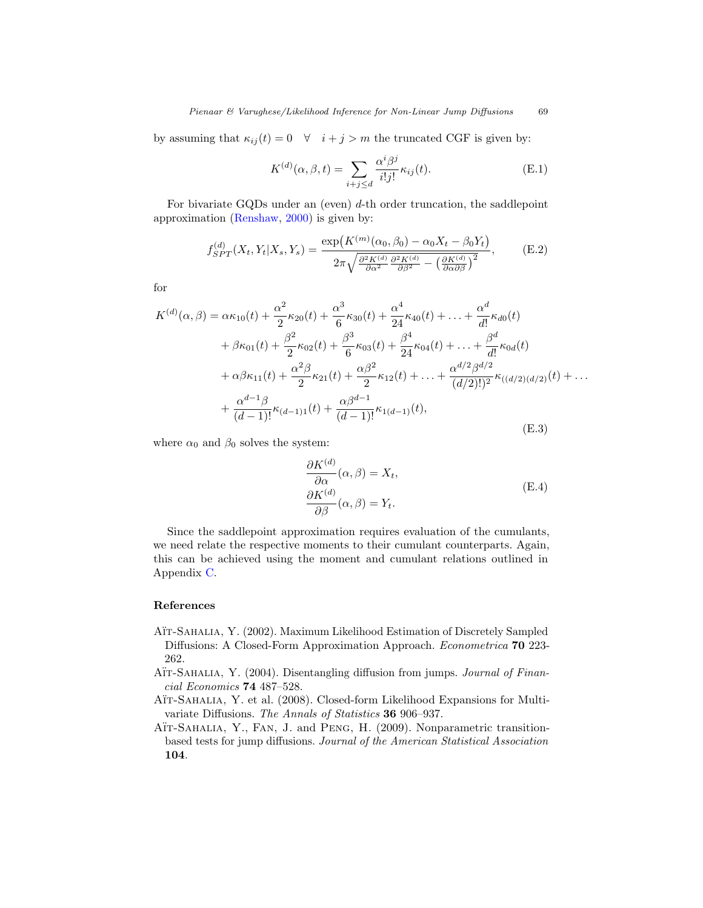by assuming that  $\kappa_{ij}(t) = 0 \quad \forall \quad i + j > m$  the truncated CGF is given by:

$$
K^{(d)}(\alpha, \beta, t) = \sum_{i+j \le d} \frac{\alpha^i \beta^j}{i!j!} \kappa_{ij}(t). \tag{E.1}
$$

For bivariate GQDs under an (even)  $d$ -th order truncation, the saddlepoint approximation (Renshaw, 2000) is given by:

$$
f_{SPT}^{(d)}(X_t, Y_t | X_s, Y_s) = \frac{\exp\left(K^{(m)}(\alpha_0, \beta_0) - \alpha_0 X_t - \beta_0 Y_t\right)}{2\pi \sqrt{\frac{\partial^2 K^{(d)}}{\partial \alpha^2} \frac{\partial^2 K^{(d)}}{\partial \beta^2} - \left(\frac{\partial K^{(d)}}{\partial \alpha \partial \beta}\right)^2}},
$$
(E.2)

for

$$
K^{(d)}(\alpha,\beta) = \alpha\kappa_{10}(t) + \frac{\alpha^2}{2}\kappa_{20}(t) + \frac{\alpha^3}{6}\kappa_{30}(t) + \frac{\alpha^4}{24}\kappa_{40}(t) + \ldots + \frac{\alpha^d}{d!}\kappa_{d0}(t) + \beta\kappa_{01}(t) + \frac{\beta^2}{2}\kappa_{02}(t) + \frac{\beta^3}{6}\kappa_{03}(t) + \frac{\beta^4}{24}\kappa_{04}(t) + \ldots + \frac{\beta^d}{d!}\kappa_{0d}(t) + \alpha\beta\kappa_{11}(t) + \frac{\alpha^2\beta}{2}\kappa_{21}(t) + \frac{\alpha\beta^2}{2}\kappa_{12}(t) + \ldots + \frac{\alpha^{d/2}\beta^{d/2}}{(d/2)!)^2}\kappa((d/2)(d/2)(t) + \ldots + \frac{\alpha^{d-1}\beta}{(d-1)!}\kappa_{(d-1)1}(t) + \frac{\alpha\beta^{d-1}}{(d-1)!}\kappa_{1(d-1)}(t),
$$
\n(E.3)

where  $\alpha_0$  and  $\beta_0$  solves the system:

$$
\frac{\partial K^{(d)}}{\partial \alpha}(\alpha, \beta) = X_t,
$$
  
\n
$$
\frac{\partial K^{(d)}}{\partial \beta}(\alpha, \beta) = Y_t.
$$
\n(E.4)

Since the saddlepoint approximation requires evaluation of the cumulants, we need relate the respective moments to their cumulant counterparts. Again, this can be achieved using the moment and cumulant relations outlined in Appendix C.

# References

- AÏT-SAHALIA, Y. (2002). Maximum Likelihood Estimation of Discretely Sampled Diffusions: A Closed-Form Approximation Approach. Econometrica 70 223- 262.
- AÏT-SAHALIA, Y. (2004). Disentangling diffusion from jumps. Journal of Financial Economics 74 487–528.
- AÏT-SAHALIA, Y. et al. (2008). Closed-form Likelihood Expansions for Multivariate Diffusions. The Annals of Statistics 36 906–937.
- AÏT-SAHALIA, Y., FAN, J. and PENG, H. (2009). Nonparametric transitionbased tests for jump diffusions. Journal of the American Statistical Association 104.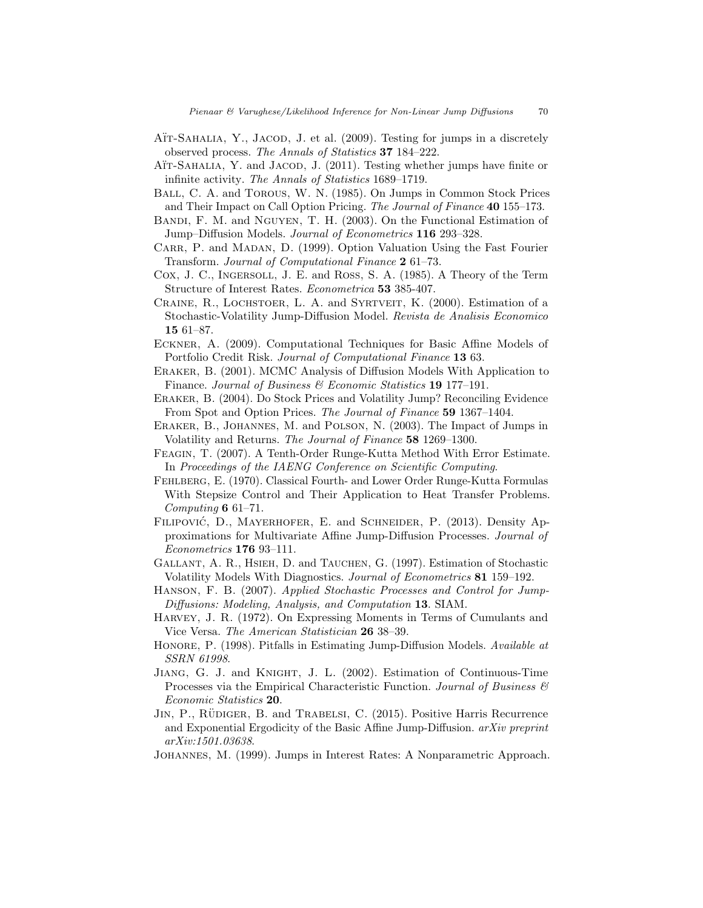- AÏT-SAHALIA, Y., JACOD, J. et al. (2009). Testing for jumps in a discretely observed process. The Annals of Statistics 37 184–222.
- ATT-SAHALIA, Y. and JACOD, J. (2011). Testing whether jumps have finite or infinite activity. The Annals of Statistics 1689–1719.
- Ball, C. A. and Torous, W. N. (1985). On Jumps in Common Stock Prices and Their Impact on Call Option Pricing. The Journal of Finance 40 155–173.
- BANDI, F. M. and NGUYEN, T. H. (2003). On the Functional Estimation of Jump–Diffusion Models. Journal of Econometrics 116 293–328.
- CARR, P. and MADAN, D. (1999). Option Valuation Using the Fast Fourier Transform. Journal of Computational Finance 2 61–73.
- Cox, J. C., Ingersoll, J. E. and Ross, S. A. (1985). A Theory of the Term Structure of Interest Rates. Econometrica 53 385-407.
- CRAINE, R., LOCHSTOER, L. A. and SYRTVEIT, K. (2000). Estimation of a Stochastic-Volatility Jump-Diffusion Model. Revista de Analisis Economico 15 61–87.
- Eckner, A. (2009). Computational Techniques for Basic Affine Models of Portfolio Credit Risk. Journal of Computational Finance 13 63.
- Eraker, B. (2001). MCMC Analysis of Diffusion Models With Application to Finance. Journal of Business & Economic Statistics 19 177-191.
- Eraker, B. (2004). Do Stock Prices and Volatility Jump? Reconciling Evidence From Spot and Option Prices. The Journal of Finance 59 1367–1404.
- Eraker, B., Johannes, M. and Polson, N. (2003). The Impact of Jumps in Volatility and Returns. The Journal of Finance 58 1269–1300.
- Feagin, T. (2007). A Tenth-Order Runge-Kutta Method With Error Estimate. In Proceedings of the IAENG Conference on Scientific Computing.
- Fehlberg, E. (1970). Classical Fourth- and Lower Order Runge-Kutta Formulas With Stepsize Control and Their Application to Heat Transfer Problems. Computing 6 61–71.
- FILIPOVIĆ, D., MAYERHOFER, E. and SCHNEIDER, P. (2013). Density Approximations for Multivariate Affine Jump-Diffusion Processes. Journal of Econometrics 176 93–111.
- Gallant, A. R., Hsieh, D. and Tauchen, G. (1997). Estimation of Stochastic Volatility Models With Diagnostics. Journal of Econometrics 81 159–192.
- Hanson, F. B. (2007). Applied Stochastic Processes and Control for Jump-Diffusions: Modeling, Analysis, and Computation 13. SIAM.
- Harvey, J. R. (1972). On Expressing Moments in Terms of Cumulants and Vice Versa. The American Statistician 26 38–39.
- Honore, P. (1998). Pitfalls in Estimating Jump-Diffusion Models. Available at SSRN 61998.
- Jiang, G. J. and Knight, J. L. (2002). Estimation of Continuous-Time Processes via the Empirical Characteristic Function. Journal of Business  $\mathcal{C}$ Economic Statistics 20.
- JIN, P., RÜDIGER, B. and TRABELSI, C. (2015). Positive Harris Recurrence and Exponential Ergodicity of the Basic Affine Jump-Diffusion. arXiv preprint arXiv:1501.03638.
- Johannes, M. (1999). Jumps in Interest Rates: A Nonparametric Approach.